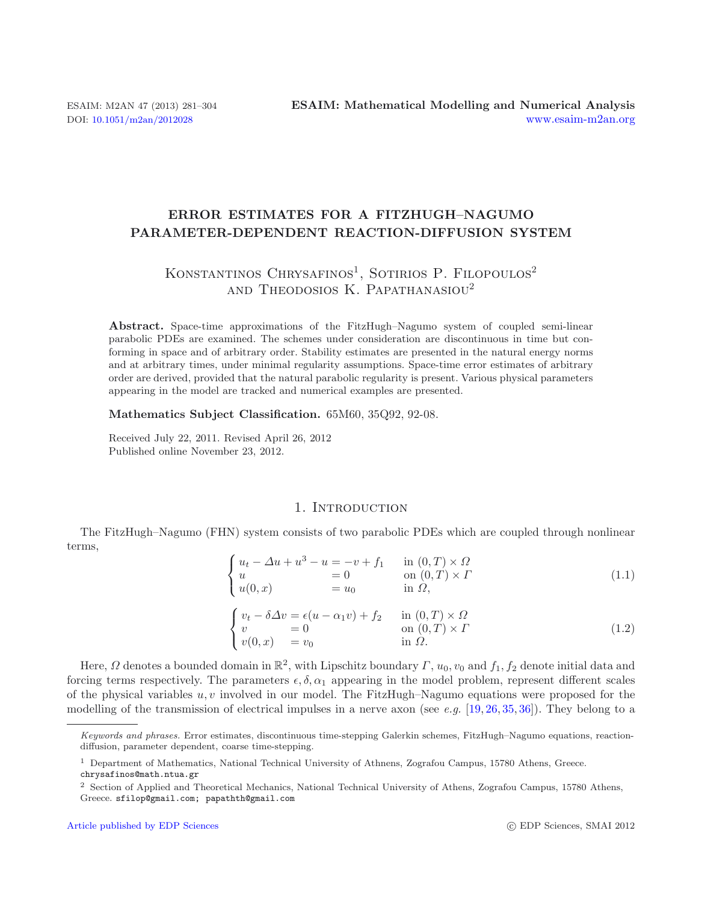# **ERROR ESTIMATES FOR A FITZHUGH–NAGUMO PARAMETER-DEPENDENT REACTION-DIFFUSION SYSTEM**

# KONSTANTINOS CHRYSAFINOS<sup>1</sup>, SOTIRIOS P. FILOPOULOS<sup>2</sup> and Theodosios K. Papathanasiou<sup>2</sup>

**Abstract.** Space-time approximations of the FitzHugh–Nagumo system of coupled semi-linear parabolic PDEs are examined. The schemes under consideration are discontinuous in time but conforming in space and of arbitrary order. Stability estimates are presented in the natural energy norms and at arbitrary times, under minimal regularity assumptions. Space-time error estimates of arbitrary order are derived, provided that the natural parabolic regularity is present. Various physical parameters appearing in the model are tracked and numerical examples are presented.

### <span id="page-0-0"></span>**Mathematics Subject Classification.** 65M60, 35Q92, 92-08.

Received July 22, 2011. Revised April 26, 2012 Published online November 23, 2012.

# 1. INTRODUCTION

The FitzHugh–Nagumo (FHN) system consists of two parabolic PDEs which are coupled through nonlinear terms,

$$
\begin{cases}\nu_t - \Delta u + u^3 - u = -v + f_1 & \text{in } (0, T) \times \Omega \\
u & = 0 & \text{on } (0, T) \times \Gamma \\
u(0, x) & = u_0 & \text{in } \Omega,\n\end{cases}
$$
\n
$$
\begin{cases}\nv_t - \delta \Delta v = \epsilon (u - \alpha_1 v) + f_2 & \text{in } (0, T) \times \Omega \\
v & = 0 & \text{on } (0, T) \times \Gamma \\
v(0, x) & = v_0 & \text{in } \Omega.\n\end{cases}
$$
\n(1.2)

Here,  $\Omega$  denotes a bounded domain in  $\mathbb{R}^2$ , with Lipschitz boundary  $\Gamma$ ,  $u_0$ ,  $v_0$  and  $f_1$ ,  $f_2$  denote initial data and forcing terms respectively. The parameters  $\epsilon, \delta, \alpha_1$  appearing in the model problem, represent different scales of the physical variables  $u, v$  involved in our model. The FitzHugh–Nagumo equations were proposed for the modelling of the transmission of electrical impulses in a nerve axon (see *e.g.* [\[19,](#page-22-0) [26,](#page-22-1) [35](#page-23-0), [36](#page-23-1)]). They belong to a

Keywords and phrases. Error estimates, discontinuous time-stepping Galerkin schemes, FitzHugh–Nagumo equations, reactiondiffusion, parameter dependent, coarse time-stepping.

<sup>1</sup> Department of Mathematics, National Technical University of Athnens, Zografou Campus, 15780 Athens, Greece.

<sup>2</sup> Section of Applied and Theoretical Mechanics, National Technical University of Athens, Zografou Campus, 15780 Athens, Greece. sfilop@gmail.com; papathth@gmail.com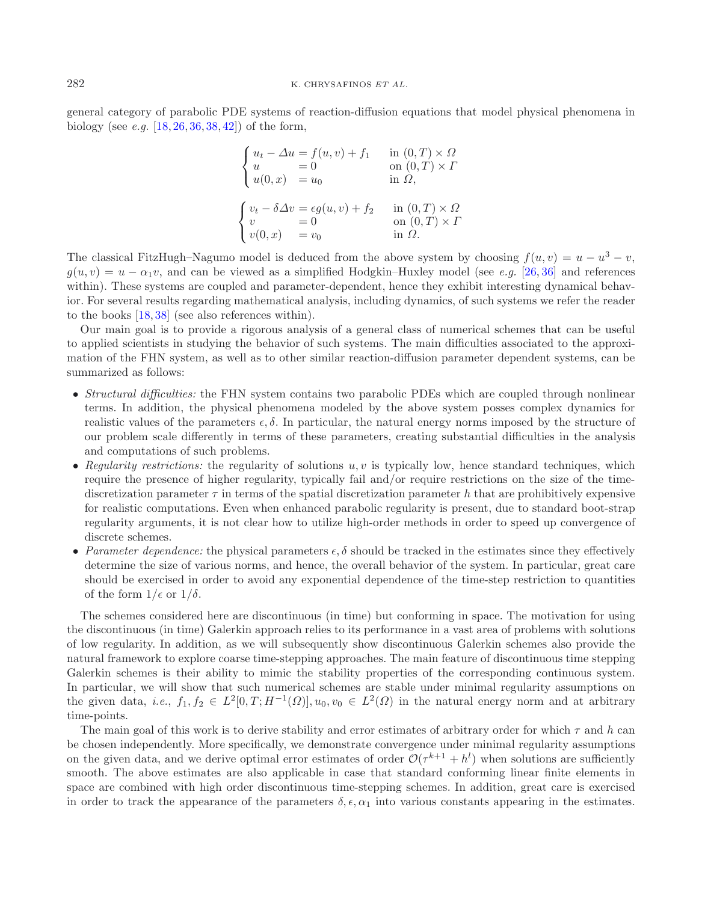general category of parabolic PDE systems of reaction-diffusion equations that model physical phenomena in biology (see *e.g.* [\[18,](#page-22-2) [26,](#page-22-1) [36,](#page-23-1) [38,](#page-23-2) [42\]](#page-23-3)) of the form,

$$
\begin{cases}\nu_t - \Delta u = f(u, v) + f_1 & \text{in } (0, T) \times \Omega \\
u = 0 & \text{on } (0, T) \times \Gamma \\
u(0, x) = u_0 & \text{in } \Omega,\n\end{cases}
$$
\n
$$
\begin{cases}\nv_t - \delta \Delta v = \epsilon g(u, v) + f_2 & \text{in } (0, T) \times \Omega \\
v = 0 & \text{on } (0, T) \times \Gamma \\
v(0, x) = v_0 & \text{in } \Omega.\n\end{cases}
$$

The classical FitzHugh–Nagumo model is deduced from the above system by choosing  $f(u, v) = u - u^3 - v$ ,  $g(u, v) = u - \alpha_1 v$ , and can be viewed as a simplified Hodgkin–Huxley model (see *e.g.* [\[26,](#page-22-1) [36\]](#page-23-1) and references within). These systems are coupled and parameter-dependent, hence they exhibit interesting dynamical behavior. For several results regarding mathematical analysis, including dynamics, of such systems we refer the reader to the books [\[18,](#page-22-2) [38\]](#page-23-2) (see also references within).

Our main goal is to provide a rigorous analysis of a general class of numerical schemes that can be useful to applied scientists in studying the behavior of such systems. The main difficulties associated to the approximation of the FHN system, as well as to other similar reaction-diffusion parameter dependent systems, can be summarized as follows:

- *Structural difficulties:* the FHN system contains two parabolic PDEs which are coupled through nonlinear terms. In addition, the physical phenomena modeled by the above system posses complex dynamics for realistic values of the parameters  $\epsilon, \delta$ . In particular, the natural energy norms imposed by the structure of our problem scale differently in terms of these parameters, creating substantial difficulties in the analysis and computations of such problems.
- *Regularity restrictions:* the regularity of solutions u, v is typically low, hence standard techniques, which require the presence of higher regularity, typically fail and/or require restrictions on the size of the timediscretization parameter  $\tau$  in terms of the spatial discretization parameter h that are prohibitively expensive for realistic computations. Even when enhanced parabolic regularity is present, due to standard boot-strap regularity arguments, it is not clear how to utilize high-order methods in order to speed up convergence of discrete schemes.
- *Parameter dependence:* the physical parameters  $\epsilon, \delta$  should be tracked in the estimates since they effectively determine the size of various norms, and hence, the overall behavior of the system. In particular, great care should be exercised in order to avoid any exponential dependence of the time-step restriction to quantities of the form  $1/\epsilon$  or  $1/\delta$ .

The schemes considered here are discontinuous (in time) but conforming in space. The motivation for using the discontinuous (in time) Galerkin approach relies to its performance in a vast area of problems with solutions of low regularity. In addition, as we will subsequently show discontinuous Galerkin schemes also provide the natural framework to explore coarse time-stepping approaches. The main feature of discontinuous time stepping Galerkin schemes is their ability to mimic the stability properties of the corresponding continuous system. In particular, we will show that such numerical schemes are stable under minimal regularity assumptions on the given data, *i.e.*,  $f_1, f_2 \in L^2[0, T; H^{-1}(\Omega)], u_0, v_0 \in L^2(\Omega)$  in the natural energy norm and at arbitrary time-points.

The main goal of this work is to derive stability and error estimates of arbitrary order for which  $\tau$  and h can be chosen independently. More specifically, we demonstrate convergence under minimal regularity assumptions on the given data, and we derive optimal error estimates of order  $\mathcal{O}(\tau^{k+1} + h^l)$  when solutions are sufficiently smooth. The above estimates are also applicable in case that standard conforming linear finite elements in space are combined with high order discontinuous time-stepping schemes. In addition, great care is exercised in order to track the appearance of the parameters  $\delta, \epsilon, \alpha_1$  into various constants appearing in the estimates.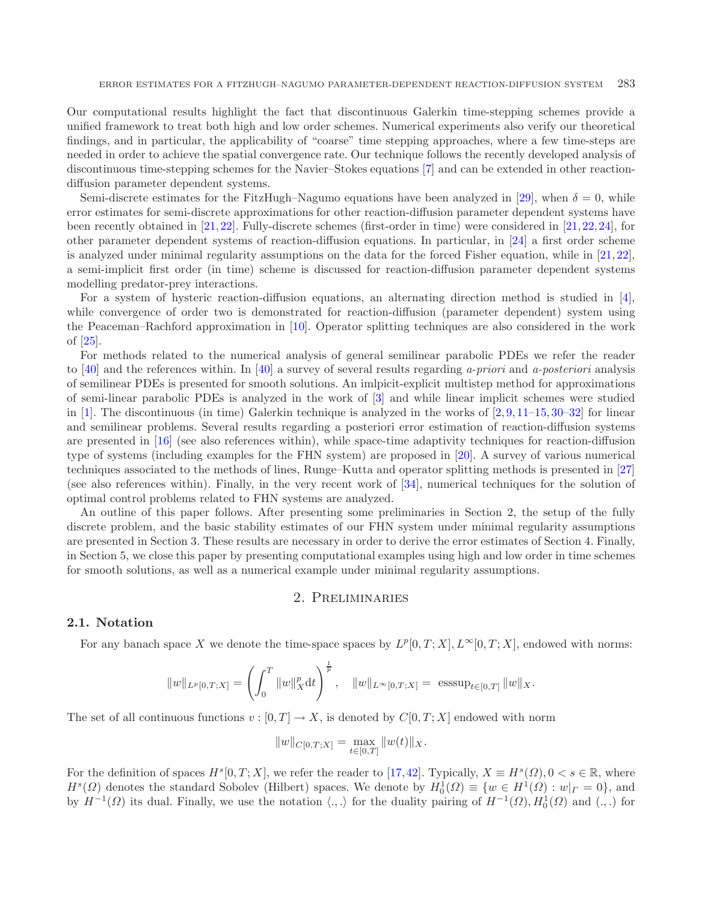Our computational results highlight the fact that discontinuous Galerkin time-stepping schemes provide a unified framework to treat both high and low order schemes. Numerical experiments also verify our theoretical findings, and in particular, the applicability of "coarse" time stepping approaches, where a few time-steps are needed in order to achieve the spatial convergence rate. Our technique follows the recently developed analysis of discontinuous time-stepping schemes for the Navier–Stokes equations [\[7\]](#page-22-3) and can be extended in other reactiondiffusion parameter dependent systems.

Semi-discrete estimates for the FitzHugh–Nagumo equations have been analyzed in [\[29](#page-22-4)], when  $\delta = 0$ , while error estimates for semi-discrete approximations for other reaction-diffusion parameter dependent systems have been recently obtained in [\[21,](#page-22-5)[22\]](#page-22-6). Fully-discrete schemes (first-order in time) were considered in [\[21](#page-22-5),[22,](#page-22-6)[24\]](#page-22-7), for other parameter dependent systems of reaction-diffusion equations. In particular, in [\[24\]](#page-22-7) a first order scheme is analyzed under minimal regularity assumptions on the data for the forced Fisher equation, while in [\[21](#page-22-5), [22](#page-22-6)], a semi-implicit first order (in time) scheme is discussed for reaction-diffusion parameter dependent systems modelling predator-prey interactions.

For a system of hysteric reaction-diffusion equations, an alternating direction method is studied in [\[4](#page-22-8)], while convergence of order two is demonstrated for reaction-diffusion (parameter dependent) system using the Peaceman–Rachford approximation in [\[10](#page-22-9)]. Operator splitting techniques are also considered in the work of [\[25\]](#page-22-10).

For methods related to the numerical analysis of general semilinear parabolic PDEs we refer the reader to [\[40\]](#page-23-4) and the references within. In [\[40](#page-23-4)] a survey of several results regarding *a-priori* and *a-posteriori* analysis of semilinear PDEs is presented for smooth solutions. An imlpicit-explicit multistep method for approximations of semi-linear parabolic PDEs is analyzed in the work of [\[3\]](#page-22-11) and while linear implicit schemes were studied in  $[1]$  $[1]$ . The discontinuous (in time) Galerkin technique is analyzed in the works of  $[2, 9, 11-15, 30-32]$  $[2, 9, 11-15, 30-32]$  $[2, 9, 11-15, 30-32]$  $[2, 9, 11-15, 30-32]$  $[2, 9, 11-15, 30-32]$  $[2, 9, 11-15, 30-32]$  $[2, 9, 11-15, 30-32]$  $[2, 9, 11-15, 30-32]$  for linear and semilinear problems. Several results regarding a posteriori error estimation of reaction-diffusion systems are presented in [\[16\]](#page-22-19) (see also references within), while space-time adaptivity techniques for reaction-diffusion type of systems (including examples for the FHN system) are proposed in [\[20](#page-22-20)]. A survey of various numerical techniques associated to the methods of lines, Runge–Kutta and operator splitting methods is presented in [\[27\]](#page-22-21) (see also references within). Finally, in the very recent work of [\[34\]](#page-23-5), numerical techniques for the solution of optimal control problems related to FHN systems are analyzed.

An outline of this paper follows. After presenting some preliminaries in Section 2, the setup of the fully discrete problem, and the basic stability estimates of our FHN system under minimal regularity assumptions are presented in Section 3. These results are necessary in order to derive the error estimates of Section 4. Finally, in Section 5, we close this paper by presenting computational examples using high and low order in time schemes for smooth solutions, as well as a numerical example under minimal regularity assumptions.

# 2. Preliminaries

#### **2.1. Notation**

For any banach space X we denote the time-space spaces by  $L^p[0,T;X], L^\infty[0,T;X]$ , endowed with norms:

$$
||w||_{L^p[0,T;X]} = \left(\int_0^T ||w||_X^p dt\right)^{\frac{1}{p}}, \quad ||w||_{L^\infty[0,T;X]} = \operatorname{esssup}_{t \in [0,T]} ||w||_X.
$$

The set of all continuous functions  $v : [0, T] \to X$ , is denoted by  $C[0, T; X]$  endowed with norm

$$
||w||_{C[0,T;X]} = \max_{t \in [0,T]} ||w(t)||_X.
$$

For the definition of spaces  $H^s[0, T; X]$ , we refer the reader to [\[17,](#page-22-22)[42\]](#page-23-3). Typically,  $X \equiv H^s(\Omega)$ ,  $0 < s \in \mathbb{R}$ , where  $H^s(\Omega)$  denotes the standard Sobolev (Hilbert) spaces. We denote by  $H_0^1(\Omega) \equiv \{w \in H^1(\Omega) : w|_{\Gamma} = 0\}$ , and by  $H^{-1}(\Omega)$  its dual. Finally, we use the notation  $\langle .,.\rangle$  for the duality pairing of  $H^{-1}(\Omega), H_0^1(\Omega)$  and  $(.,.)$  for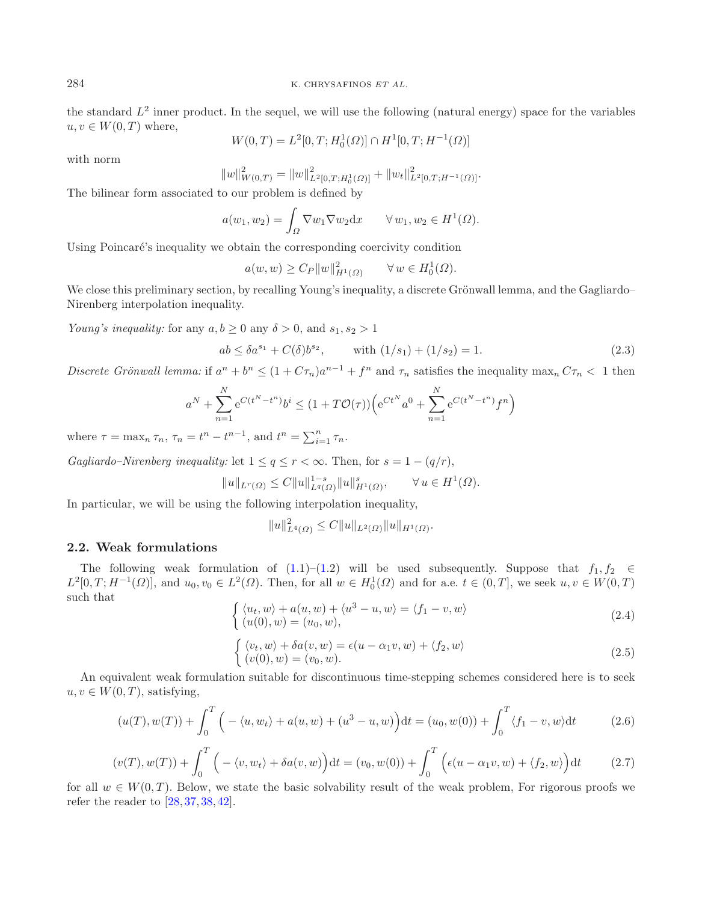the standard  $L^2$  inner product. In the sequel, we will use the following (natural energy) space for the variables  $u, v \in W(0,T)$  where,

$$
W(0,T) = L^{2}[0,T; H_{0}^{1}(\Omega)] \cap H^{1}[0,T; H^{-1}(\Omega)]
$$

with norm

$$
||w||_{W(0,T)}^2 = ||w||_{L^2[0,T;H_0^1(\Omega)]}^2 + ||w_t||_{L^2[0,T;H^{-1}(\Omega)]}^2.
$$

The bilinear form associated to our problem is defined by

$$
a(w_1, w_2) = \int_{\Omega} \nabla w_1 \nabla w_2 \mathrm{d}x \qquad \forall w_1, w_2 \in H^1(\Omega).
$$

Using Poincaré's inequality we obtain the corresponding coercivity condition

$$
a(w, w) \ge C_P ||w||_{H^1(\Omega)}^2 \qquad \forall w \in H_0^1(\Omega).
$$

We close this preliminary section, by recalling Young's inequality, a discrete Grönwall lemma, and the Gagliardo– Nirenberg interpolation inequality.

*Young's inequality:* for any  $a, b \ge 0$  any  $\delta > 0$ , and  $s_1, s_2 > 1$ 

$$
ab \le \delta a^{s_1} + C(\delta)b^{s_2}, \qquad \text{with } (1/s_1) + (1/s_2) = 1. \tag{2.3}
$$

*Discrete Grönwall lemma:* if  $a^n + b^n \leq (1 + C\tau_n)a^{n-1} + f^n$  and  $\tau_n$  satisfies the inequality max<sub>n</sub>  $C\tau_n < 1$  then

$$
a^{N} + \sum_{n=1}^{N} e^{C(t^{N} - t^{n})} b^{i} \le (1 + T\mathcal{O}(\tau)) \left( e^{Ct^{N}} a^{0} + \sum_{n=1}^{N} e^{C(t^{N} - t^{n})} f^{n} \right)
$$

where  $\tau = \max_n \tau_n$ ,  $\tau_n = t^n - t^{n-1}$ , and  $t^n = \sum_{i=1}^n \tau_n$ .

*Gagliardo–Nirenberg inequality:* let  $1 \le q \le r < \infty$ . Then, for  $s = 1 - (q/r)$ ,

$$
||u||_{L^{r}(\Omega)} \leq C||u||_{L^{q}(\Omega)}^{1-s}||u||_{H^{1}(\Omega)}^{s}, \qquad \forall u \in H^{1}(\Omega).
$$

<span id="page-3-0"></span>In particular, we will be using the following interpolation inequality,

$$
||u||_{L^{4}(\Omega)}^{2} \leq C||u||_{L^{2}(\Omega)}||u||_{H^{1}(\Omega)}.
$$

#### **2.2. Weak formulations**

<span id="page-3-1"></span>The following weak formulation of  $(1.1)$  $(1.1)$ – $(1.2)$  will be used subsequently. Suppose that  $f_1, f_2 \in$  $L^2[0,T;H^{-1}(\Omega)]$ , and  $u_0,v_0 \in L^2(\Omega)$ . Then, for all  $w \in H_0^1(\Omega)$  and for a.e.  $t \in (0,T]$ , we seek  $u, v \in W(0,T)$ such that

$$
\begin{cases} \langle u_t, w \rangle + a(u, w) + \langle u^3 - u, w \rangle = \langle f_1 - v, w \rangle \\ (u(0), w) = (u_0, w), \end{cases}
$$
 (2.4)

$$
\begin{cases} \langle v_t, w \rangle + \delta a(v, w) = \epsilon(u - \alpha_1 v, w) + \langle f_2, w \rangle \\ (v(0), w) = (v_0, w). \end{cases}
$$
 (2.5)

An equivalent weak formulation suitable for discontinuous time-stepping schemes considered here is to seek  $u, v \in W(0,T)$ , satisfying,

$$
(u(T), w(T)) + \int_0^T \Big( -\langle u, w_t \rangle + a(u, w) + (u^3 - u, w) \Big) dt = (u_0, w(0)) + \int_0^T \langle f_1 - v, w \rangle dt \tag{2.6}
$$

$$
(v(T), w(T)) + \int_0^T \left( -\langle v, w_t \rangle + \delta a(v, w) \right) dt = (v_0, w(0)) + \int_0^T \left( \epsilon(u - \alpha_1 v, w) + \langle f_2, w \rangle \right) dt \tag{2.7}
$$

for all  $w \in W(0,T)$ . Below, we state the basic solvability result of the weak problem, For rigorous proofs we refer the reader to [\[28](#page-22-23), [37](#page-23-6), [38,](#page-23-2) [42\]](#page-23-3).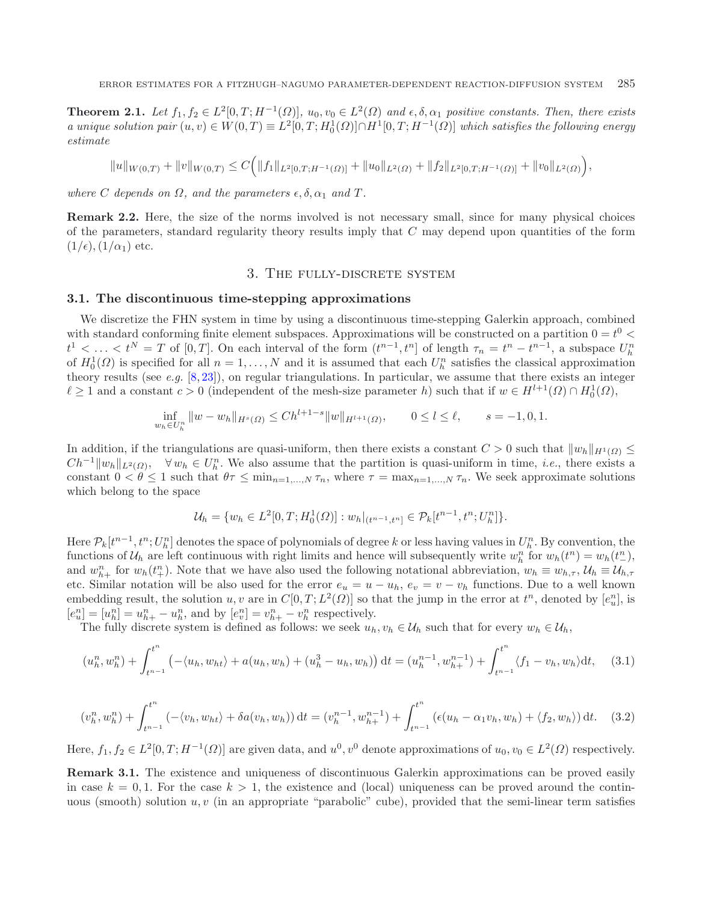**Theorem 2.1.** *Let*  $f_1, f_2 \in L^2[0, T; H^{-1}(\Omega)], u_0, v_0 \in L^2(\Omega)$  and  $\epsilon, \delta, \alpha_1$  positive constants. Then, there exists *a unique solution pair*  $(u, v) \in W(0, T) \equiv L^2[0, T; H_0^1(\Omega)] \cap H^1[0, T; H^{-1}(\Omega)]$  *which satisfies the following energy estimate*

$$
||u||_{W(0,T)} + ||v||_{W(0,T)} \leq C\Big(||f_1||_{L^2[0,T;H^{-1}(\Omega)]} + ||u_0||_{L^2(\Omega)} + ||f_2||_{L^2[0,T;H^{-1}(\Omega)]} + ||v_0||_{L^2(\Omega)}\Big),
$$

*where* C depends on  $\Omega$ , and the parameters  $\epsilon, \delta, \alpha_1$  and T.

**Remark 2.2.** Here, the size of the norms involved is not necessary small, since for many physical choices of the parameters, standard regularity theory results imply that  $C$  may depend upon quantities of the form  $(1/\epsilon), (1/\alpha_1)$  etc.

## <span id="page-4-0"></span>3. The fully-discrete system

### **3.1. The discontinuous time-stepping approximations**

We discretize the FHN system in time by using a discontinuous time-stepping Galerkin approach, combined with standard conforming finite element subspaces. Approximations will be constructed on a partition  $0 = t^0$  <  $t^1 < \ldots < t^N = T$  of  $[0,T]$ . On each interval of the form  $(t^{n-1}, t^n]$  of length  $\tau_n = t^n - t^{n-1}$ , a subspace  $U_h^n$ of  $H_0^1(\Omega)$  is specified for all  $n = 1, ..., N$  and it is assumed that each  $U_h^n$  satisfies the classical approximation theory results (see *e.g.* [\[8,](#page-22-24) [23](#page-22-25)]), on regular triangulations. In particular, we assume that there exists an integer  $\ell \geq 1$  and a constant  $c > 0$  (independent of the mesh-size parameter h) such that if  $w \in H^{l+1}(\Omega) \cap H_0^1(\Omega)$ ,

$$
\inf_{w_h \in U_h^n} \|w - w_h\|_{H^s(\Omega)} \le C h^{l+1-s} \|w\|_{H^{l+1}(\Omega)}, \qquad 0 \le l \le \ell, \qquad s = -1, 0, 1.
$$

In addition, if the triangulations are quasi-uniform, then there exists a constant  $C > 0$  such that  $||w_h||_{H^1(\Omega)} \le$  $Ch^{-1}||w_h||_{L^2(\Omega)}, \quad \forall w_h \in U_h^n.$  We also assume that the partition is quasi-uniform in time, *i.e.*, there exists a constant  $0 < \theta \leq 1$  such that  $\theta \tau \leq \min_{n=1,\dots,N} \tau_n$ , where  $\tau = \max_{n=1,\dots,N} \tau_n$ . We seek approximate solutions which belong to the space

$$
\mathcal{U}_h = \{ w_h \in L^2[0, T; H_0^1(\Omega)] : w_h|_{(t^{n-1}, t^n]} \in \mathcal{P}_k[t^{n-1}, t^n; U_h^n] \}.
$$

<span id="page-4-1"></span>Here  $\mathcal{P}_k[t^{n-1}, t^n; U_h^n]$  denotes the space of polynomials of degree k or less having values in  $U_h^n$ . By convention, the functions of  $\mathcal{U}_h$  are left continuous with right limits and hence will subsequently write  $w_h^n$  for  $w_h(t^n) = w_h(t^n)$ , and  $w_{h+}^n$  for  $w_h(t_+^n)$ . Note that we have also used the following notational abbreviation,  $w_h \equiv w_{h,\tau}$ ,  $\mathcal{U}_h \equiv \mathcal{U}_{h,\tau}$ etc. Similar notation will be also used for the error  $e_u = u - u_h$ ,  $e_v = v - v_h$  functions. Due to a well known embedding result, the solution  $u, v$  are in  $C[0, T; L^2(\Omega)]$  so that the jump in the error at  $t^n$ , denoted by  $[e_u^n]$ , is  $[e_u^n] = [u_h^n] = u_{h+}^n - u_h^n$ , and by  $[e_v^n] = v_{h+}^n - v_h^n$  respectively.

The fully discrete system is defined as follows: we seek  $u_h, v_h \in \mathcal{U}_h$  such that for every  $w_h \in \mathcal{U}_h$ ,

$$
(u_h^n, w_h^n) + \int_{t^{n-1}}^{t^n} \left( -\langle u_h, w_{ht} \rangle + a(u_h, w_h) + (u_h^3 - u_h, w_h) \right) dt = (u_h^{n-1}, w_{h+}^{n-1}) + \int_{t^{n-1}}^{t^n} \langle f_1 - v_h, w_h \rangle dt, \quad (3.1)
$$

$$
(v_h^n, w_h^n) + \int_{t^{n-1}}^{t^n} \left( -\langle v_h, w_{ht} \rangle + \delta a(v_h, w_h) \right) dt = (v_h^{n-1}, w_{h+}^{n-1}) + \int_{t^{n-1}}^{t^n} \left( \epsilon (u_h - \alpha_1 v_h, w_h) + \langle f_2, w_h \rangle \right) dt. \tag{3.2}
$$

Here,  $f_1, f_2 \in L^2[0, T; H^{-1}(\Omega)]$  are given data, and  $u^0, v^0$  denote approximations of  $u_0, v_0 \in L^2(\Omega)$  respectively.

**Remark 3.1.** The existence and uniqueness of discontinuous Galerkin approximations can be proved easily in case  $k = 0, 1$ . For the case  $k > 1$ , the existence and (local) uniqueness can be proved around the continuous (smooth) solution  $u, v$  (in an appropriate "parabolic" cube), provided that the semi-linear term satisfies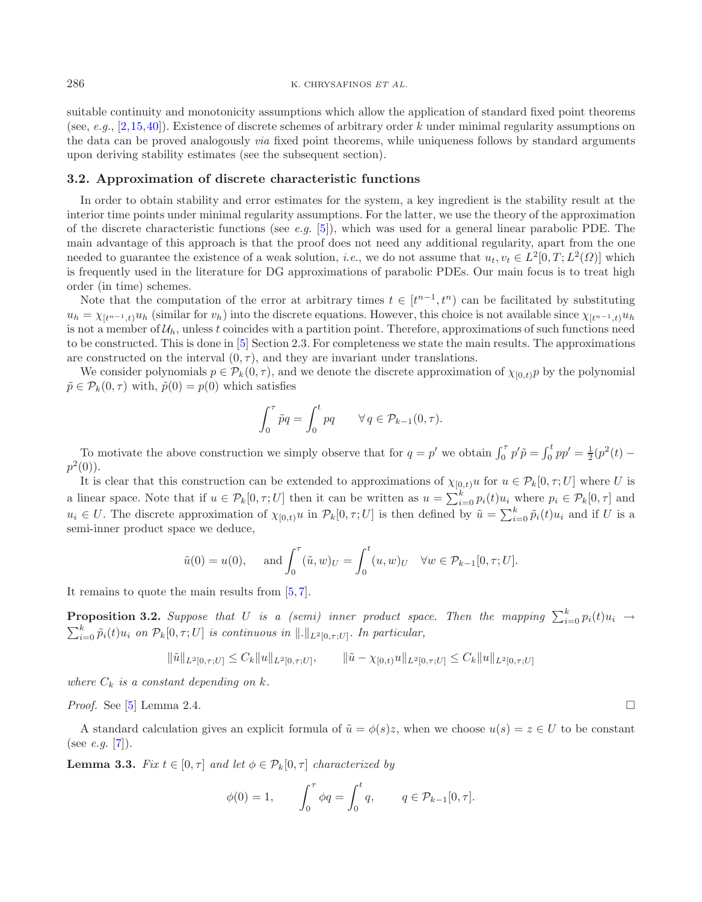suitable continuity and monotonicity assumptions which allow the application of standard fixed point theorems (see, *e.g.*, [\[2](#page-22-13)[,15](#page-22-16),[40\]](#page-23-4)). Existence of discrete schemes of arbitrary order k under minimal regularity assumptions on the data can be proved analogously *via* fixed point theorems, while uniqueness follows by standard arguments upon deriving stability estimates (see the subsequent section).

# **3.2. Approximation of discrete characteristic functions**

In order to obtain stability and error estimates for the system, a key ingredient is the stability result at the interior time points under minimal regularity assumptions. For the latter, we use the theory of the approximation of the discrete characteristic functions (see *e.g.* [\[5](#page-22-26)]), which was used for a general linear parabolic PDE. The main advantage of this approach is that the proof does not need any additional regularity, apart from the one needed to guarantee the existence of a weak solution, *i.e.*, we do not assume that  $u_t, v_t \in L^2[0, T; L^2(\Omega)]$  which is frequently used in the literature for DG approximations of parabolic PDEs. Our main focus is to treat high order (in time) schemes.

Note that the computation of the error at arbitrary times  $t \in [t^{n-1}, t^n)$  can be facilitated by substituting  $u_h = \chi_{[t^{n-1},t]} u_h$  (similar for  $v_h$ ) into the discrete equations. However, this choice is not available since  $\chi_{[t^{n-1},t]} u_h$ is not a member of  $\mathcal{U}_h$ , unless t coincides with a partition point. Therefore, approximations of such functions need to be constructed. This is done in [\[5](#page-22-26)] Section 2.3. For completeness we state the main results. The approximations are constructed on the interval  $(0, \tau)$ , and they are invariant under translations.

We consider polynomials  $p \in \mathcal{P}_k(0, \tau)$ , and we denote the discrete approximation of  $\chi_{[0,t)} p$  by the polynomial  $\tilde{p} \in \mathcal{P}_k(0, \tau)$  with,  $\tilde{p}(0) = p(0)$  which satisfies

$$
\int_0^{\tau} \tilde{p}q = \int_0^t pq \qquad \forall q \in \mathcal{P}_{k-1}(0, \tau).
$$

To motivate the above construction we simply observe that for  $q = p'$  we obtain  $\int_0^{\tau} p' \tilde{p} = \int_0^t pp' = \frac{1}{2}(p^2(t)$  $p^2(0)$ .

It is clear that this construction can be extended to approximations of  $\chi_{[0,t)}u$  for  $u \in \mathcal{P}_k[0,\tau;U]$  where U is a linear space. Note that if  $u \in \mathcal{P}_k[0, \tau; U]$  then it can be written as  $u = \sum_{i=0}^k p_i(t) u_i$  where  $p_i \in \mathcal{P}_k[0, \tau]$  and  $u_i \in U$ . The discrete approximation of  $\chi_{[0,t)} u$  in  $\mathcal{P}_k[0,\tau;U]$  is then defined by  $\tilde{u} = \sum_{i=0}^k \tilde{p}_i(t) u_i$  and if U is a semi-inner product space we deduce,

$$
\tilde{u}(0) = u(0), \text{ and } \int_0^{\tau} (\tilde{u}, w)_U = \int_0^t (u, w)_U \quad \forall w \in \mathcal{P}_{k-1}[0, \tau; U].
$$

<span id="page-5-0"></span>It remains to quote the main results from [\[5](#page-22-26), [7](#page-22-3)].

**Proposition 3.2.** Suppose that U is a (semi) inner product space. Then the mapping  $\sum_{i=0}^{k} p_i(t)u_i \rightarrow$  $\sum_{i=0}^{k} \tilde{p}_i(t) u_i$  on  $\mathcal{P}_k[0, \tau; U]$  *is continuous in*  $\|.\|_{L^2[0, \tau; U]}$ *. In particular,* 

$$
\|\tilde{u}\|_{L^2[0,\tau;U]} \leq C_k \|u\|_{L^2[0,\tau;U]}, \qquad \|\tilde{u} - \chi_{[0,t)}u\|_{L^2[0,\tau;U]} \leq C_k \|u\|_{L^2[0,\tau;U]}
$$

*where*  $C_k$  *is a constant depending on*  $k$ *.* 

*Proof.* See [\[5](#page-22-26)] Lemma 2.4.

A standard calculation gives an explicit formula of  $\tilde{u} = \phi(s)z$ , when we choose  $u(s) = z \in U$  to be constant (see *e.g.* [\[7](#page-22-3)]).

**Lemma 3.3.** *Fix*  $t \in [0, \tau]$  *and let*  $\phi \in \mathcal{P}_k[0, \tau]$  *characterized by* 

$$
\phi(0) = 1,
$$
\n
$$
\int_0^{\tau} \phi q = \int_0^t q, \qquad q \in \mathcal{P}_{k-1}[0, \tau].
$$

 $\Box$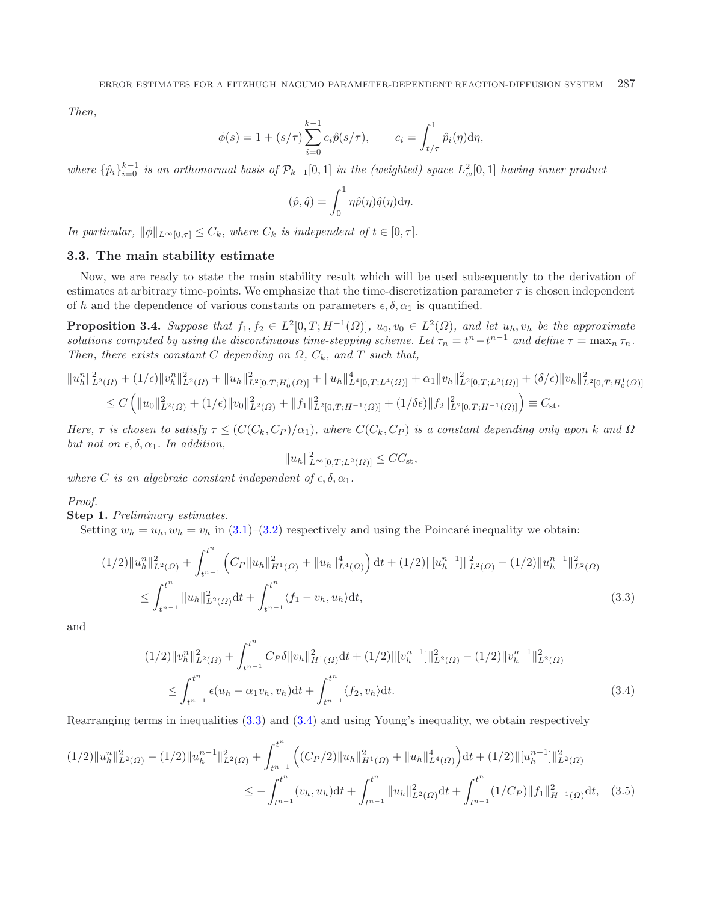*Then,*

$$
\phi(s) = 1 + (s/\tau) \sum_{i=0}^{k-1} c_i \hat{p}(s/\tau), \qquad c_i = \int_{t/\tau}^1 \hat{p}_i(\eta) d\eta,
$$

 $where \{\hat{p}_i\}_{i=0}^{k-1}$  *is an orthonormal basis of*  $\mathcal{P}_{k-1}[0,1]$  *in the (weighted) space*  $L^2_w[0,1]$  *having inner product* 

<span id="page-6-3"></span>
$$
(\hat{p}, \hat{q}) = \int_0^1 \eta \hat{p}(\eta) \hat{q}(\eta) d\eta.
$$

*In particular,*  $\|\phi\|_{L^{\infty}[0,\tau]} \leq C_k$ , where  $C_k$  is independent of  $t \in [0,\tau]$ .

# **3.3. The main stability estimate**

Now, we are ready to state the main stability result which will be used subsequently to the derivation of estimates at arbitrary time-points. We emphasize that the time-discretization parameter  $\tau$  is chosen independent of h and the dependence of various constants on parameters  $\epsilon, \delta, \alpha_1$  is quantified.

**Proposition 3.4.** *Suppose that*  $f_1, f_2 \in L^2[0, T; H^{-1}(\Omega)], u_0, v_0 \in L^2(\Omega)$ *, and let*  $u_h, v_h$  *be the approximate solutions computed by using the discontinuous time-stepping scheme. Let*  $\tau_n = t^n - t^{n-1}$  *and define*  $\tau = \max_n \tau_n$ *. Then, there exists constant*  $C$  *depending on*  $\Omega$ *,*  $C_k$ *, and*  $T$  *such that,* 

$$
||u_h^n||_{L^2(\Omega)}^2 + (1/\epsilon)||v_h^n||_{L^2(\Omega)}^2 + ||u_h||_{L^2[0,T;H_0^1(\Omega)]}^2 + ||u_h||_{L^4[0,T;L^4(\Omega)]}^4 + \alpha_1 ||v_h||_{L^2[0,T;L^2(\Omega)]}^2 + (\delta/\epsilon)||v_h||_{L^2[0,T;H_0^1(\Omega)]}^2
$$
  

$$
\leq C \left( ||u_0||_{L^2(\Omega)}^2 + (1/\epsilon)||v_0||_{L^2(\Omega)}^2 + ||f_1||_{L^2[0,T;H^{-1}(\Omega)]}^2 + (1/\delta\epsilon)||f_2||_{L^2[0,T;H^{-1}(\Omega)]}^2 \right) \equiv C_{\text{st}}.
$$

*Here,*  $\tau$  *is chosen to satisfy*  $\tau \leq (C(C_k, C_P)/\alpha_1)$ *, where*  $C(C_k, C_P)$  *is a constant depending only upon* k and  $\Omega$ *but not on*  $\epsilon, \delta, \alpha_1$ *. In addition,* 

<span id="page-6-2"></span><span id="page-6-0"></span>
$$
||u_h||_{L^{\infty}[0,T;L^2(\Omega)]}^2 \leq CC_{\rm st},
$$

*where* C *is an algebraic constant independent of*  $\epsilon$ ,  $\delta$ ,  $\alpha$ <sub>1</sub>.

*Proof.*

**Step 1.** *Preliminary estimates.*

Setting  $w_h = u_h, w_h = v_h$  in [\(3.1\)](#page-4-0)–[\(3.2\)](#page-4-1) respectively and using the Poincaré inequality we obtain:

$$
(1/2)\|u_h^n\|_{L^2(\Omega)}^2 + \int_{t^{n-1}}^{t^n} \left( C_P \|u_h\|_{H^1(\Omega)}^2 + \|u_h\|_{L^4(\Omega)}^4 \right) dt + (1/2) \|[u_h^{n-1}]\|_{L^2(\Omega)}^2 - (1/2) \|u_h^{n-1}\|_{L^2(\Omega)}^2
$$
  

$$
\leq \int_{t^{n-1}}^{t^n} \|u_h\|_{L^2(\Omega)}^2 dt + \int_{t^{n-1}}^{t^n} \langle f_1 - v_h, u_h \rangle dt,
$$
 (3.3)

<span id="page-6-1"></span>and

$$
(1/2) \|v_h^n\|_{L^2(\Omega)}^2 + \int_{t^{n-1}}^{t^n} C_P \delta \|v_h\|_{H^1(\Omega)}^2 dt + (1/2) \|v_h^{n-1}\|_{L^2(\Omega)}^2 - (1/2) \|v_h^{n-1}\|_{L^2(\Omega)}^2
$$
  

$$
\leq \int_{t^{n-1}}^{t^n} \epsilon (u_h - \alpha_1 v_h, v_h) dt + \int_{t^{n-1}}^{t^n} \langle f_2, v_h \rangle dt.
$$
 (3.4)

Rearranging terms in inequalities [\(3.3\)](#page-6-0) and [\(3.4\)](#page-6-1) and using Young's inequality, we obtain respectively

$$
(1/2)\|u_{h}^{n}\|_{L^{2}(\Omega)}^{2} - (1/2)\|u_{h}^{n-1}\|_{L^{2}(\Omega)}^{2} + \int_{t^{n-1}}^{t^{n}} \left( (C_{P}/2)\|u_{h}\|_{H^{1}(\Omega)}^{2} + \|u_{h}\|_{L^{4}(\Omega)}^{4} \right) dt + (1/2)\|[u_{h}^{n-1}]\|_{L^{2}(\Omega)}^{2}
$$
  

$$
\leq - \int_{t^{n-1}}^{t^{n}} (v_{h}, u_{h}) dt + \int_{t^{n-1}}^{t^{n}} \|u_{h}\|_{L^{2}(\Omega)}^{2} dt + \int_{t^{n-1}}^{t^{n}} (1/C_{P})\|f_{1}\|_{H^{-1}(\Omega)}^{2} dt, \quad (3.5)
$$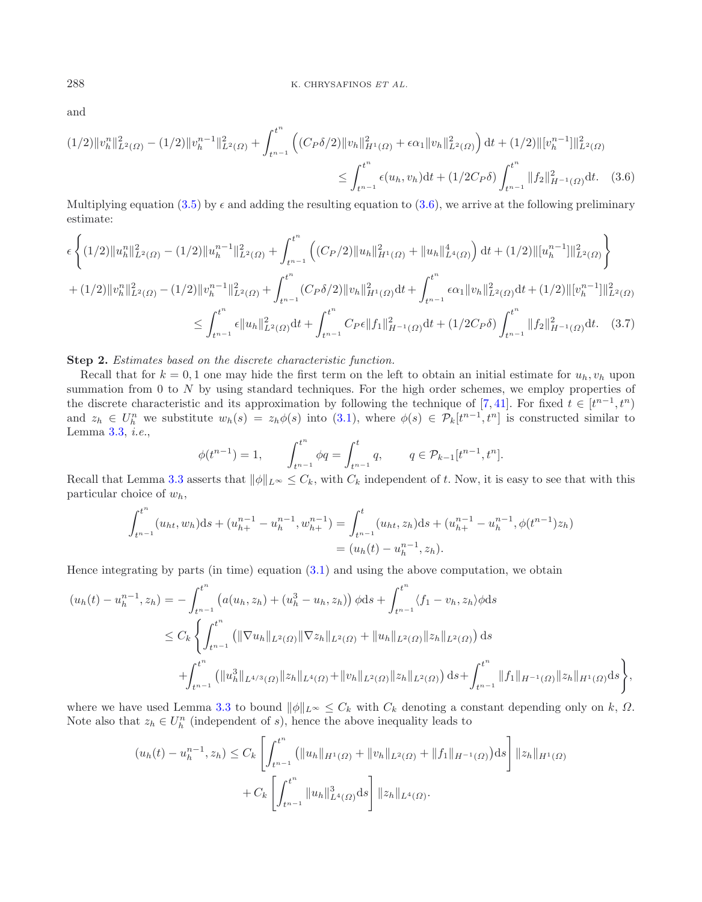and

$$
(1/2) \|v_h^n\|_{L^2(\Omega)}^2 - (1/2) \|v_h^{n-1}\|_{L^2(\Omega)}^2 + \int_{t^{n-1}}^{t^n} \left( (C_P \delta/2) \|v_h\|_{H^1(\Omega)}^2 + \epsilon \alpha_1 \|v_h\|_{L^2(\Omega)}^2 \right) dt + (1/2) \|v_h^{n-1}\|_{L^2(\Omega)}^2
$$
  

$$
\leq \int_{t^{n-1}}^{t^n} \epsilon(u_h, v_h) dt + (1/2C_P \delta) \int_{t^{n-1}}^{t^n} \|f_2\|_{H^{-1}(\Omega)}^2 dt. \quad (3.6)
$$

Multiplying equation [\(3.5\)](#page-6-2) by  $\epsilon$  and adding the resulting equation to [\(3.6\)](#page-7-0), we arrive at the following preliminary estimate:

$$
\epsilon \left\{ (1/2) \|u_h^n\|_{L^2(\Omega)}^2 - (1/2) \|u_h^{n-1}\|_{L^2(\Omega)}^2 + \int_{t^{n-1}}^{t^n} \left( (C_P/2) \|u_h\|_{H^1(\Omega)}^2 + \|u_h\|_{L^4(\Omega)}^4 \right) dt + (1/2) \|u_h^{n-1}\|_{L^2(\Omega)}^2 \right\}
$$
  
+ 
$$
(1/2) \|v_h^n\|_{L^2(\Omega)}^2 - (1/2) \|v_h^{n-1}\|_{L^2(\Omega)}^2 + \int_{t^{n-1}}^{t^n} (C_P \delta/2) \|v_h\|_{H^1(\Omega)}^2 dt + \int_{t^{n-1}}^{t^n} \epsilon \alpha_1 \|v_h\|_{L^2(\Omega)}^2 dt + (1/2) \|v_h^{n-1}\|_{L^2(\Omega)}^2 dt \right\}
$$
  

$$
\leq \int_{t^{n-1}}^{t^n} \epsilon \|u_h\|_{L^2(\Omega)}^2 dt + \int_{t^{n-1}}^{t^n} C_P \epsilon \|f_1\|_{H^{-1}(\Omega)}^2 dt + (1/2C_P \delta) \int_{t^{n-1}}^{t^n} \|f_2\|_{H^{-1}(\Omega)}^2 dt. \quad (3.7)
$$

**Step 2.** *Estimates based on the discrete characteristic function.*

Recall that for  $k = 0, 1$  one may hide the first term on the left to obtain an initial estimate for  $u_h, v_h$  upon summation from 0 to N by using standard techniques. For the high order schemes, we employ properties of the discrete characteristic and its approximation by following the technique of [\[7,](#page-22-3)[41](#page-23-7)]. For fixed  $t \in [t^{n-1}, t^n)$ and  $z_h \in U_h^n$  we substitute  $w_h(s) = z_h \phi(s)$  into  $(3.1)$ , where  $\phi(s) \in \mathcal{P}_k[t^{n-1}, t^n]$  is constructed similar to Lemma [3.3,](#page-5-0) *i.e.*,

<span id="page-7-1"></span>
$$
\phi(t^{n-1}) = 1, \qquad \int_{t^{n-1}}^{t^n} \phi q = \int_{t^{n-1}}^t q, \qquad q \in \mathcal{P}_{k-1}[t^{n-1}, t^n].
$$

Recall that Lemma [3.3](#page-5-0) asserts that  $\|\phi\|_{L^{\infty}} \leq C_k$ , with  $C_k$  independent of t. Now, it is easy to see that with this particular choice of  $w_h$ ,

$$
\int_{t^{n-1}}^{t^n} (u_{ht}, w_h) ds + (u_{h+}^{n-1} - u_h^{n-1}, w_{h+}^{n-1}) = \int_{t^{n-1}}^t (u_{ht}, z_h) ds + (u_{h+}^{n-1} - u_h^{n-1}, \phi(t^{n-1}) z_h)
$$
  
=  $(u_h(t) - u_h^{n-1}, z_h).$ 

Hence integrating by parts (in time) equation  $(3.1)$  and using the above computation, we obtain

$$
(u_h(t) - u_h^{n-1}, z_h) = -\int_{t^{n-1}}^{t^n} \left( a(u_h, z_h) + (u_h^3 - u_h, z_h) \right) \phi \, ds + \int_{t^{n-1}}^{t^n} \langle f_1 - v_h, z_h \rangle \phi \, ds
$$
  

$$
\leq C_k \left\{ \int_{t^{n-1}}^{t^n} \left( \|\nabla u_h\|_{L^2(\Omega)} \|\nabla z_h\|_{L^2(\Omega)} + \|u_h\|_{L^2(\Omega)} \|z_h\|_{L^2(\Omega)} \right) \, ds \right\}
$$
  

$$
+ \int_{t^{n-1}}^{t^n} \left( \|u_h^3\|_{L^{4/3}(\Omega)} \|z_h\|_{L^4(\Omega)} + \|v_h\|_{L^2(\Omega)} \|z_h\|_{L^2(\Omega)} \right) \, ds + \int_{t^{n-1}}^{t^n} \|f_1\|_{H^{-1}(\Omega)} \|z_h\|_{H^1(\Omega)} ds \right\},
$$

where we have used Lemma [3.3](#page-5-0) to bound  $\|\phi\|_{L^{\infty}} \leq C_k$  with  $C_k$  denoting a constant depending only on k,  $\Omega$ . Note also that  $z_h \in U_h^n$  (independent of s), hence the above inequality leads to

$$
(u_h(t) - u_h^{n-1}, z_h) \le C_k \left[ \int_{t^{n-1}}^{t^n} (||u_h||_{H^1(\Omega)} + ||v_h||_{L^2(\Omega)} + ||f_1||_{H^{-1}(\Omega)}) ds \right] ||z_h||_{H^1(\Omega)} + C_k \left[ \int_{t^{n-1}}^{t^n} ||u_h||_{L^4(\Omega)}^3 ds \right] ||z_h||_{L^4(\Omega)}.
$$

<span id="page-7-0"></span>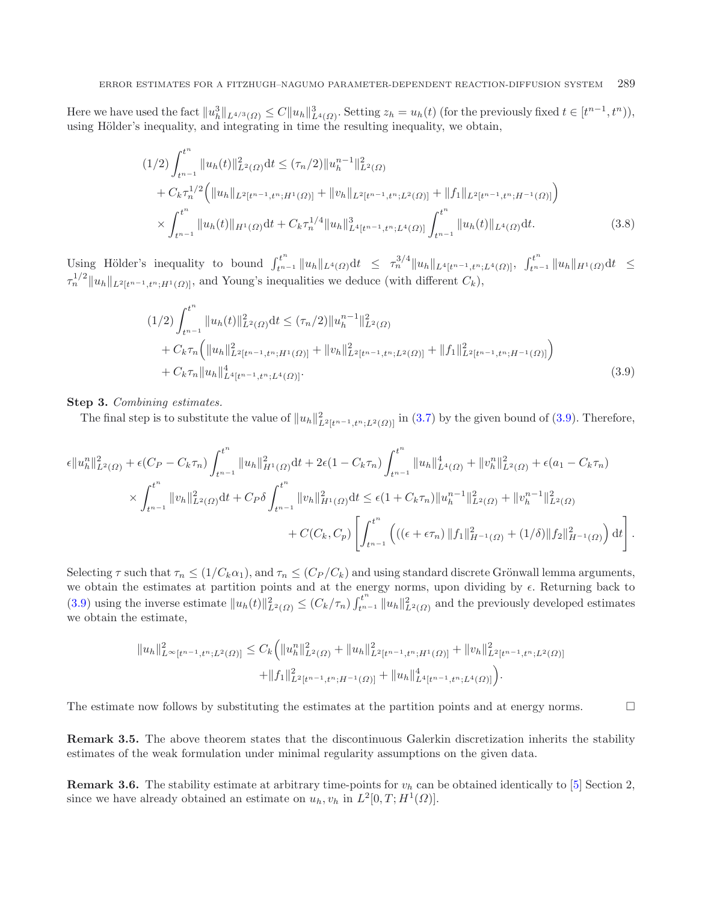Here we have used the fact  $||u_h^3||_{L^{4/3}(\Omega)} \leq C||u_h||^3_{L^4(\Omega)}$ . Setting  $z_h = u_h(t)$  (for the previously fixed  $t \in [t^{n-1}, t^n)$ ), using Hölder's inequality, and integrating in time the resulting inequality, we obtain,

<span id="page-8-0"></span>
$$
(1/2) \int_{t^{n-1}}^{t^n} \|u_h(t)\|_{L^2(\Omega)}^2 dt \le (\tau_n/2) \|u_h^{n-1}\|_{L^2(\Omega)}^2
$$
  
+  $C_k \tau_n^{1/2} \Big( \|u_h\|_{L^2[t^{n-1}, t^n; H^1(\Omega)]} + \|v_h\|_{L^2[t^{n-1}, t^n; L^2(\Omega)]} + \|f_1\|_{L^2[t^{n-1}, t^n; H^{-1}(\Omega)]} \Big)$   
  $\times \int_{t^{n-1}}^{t^n} \|u_h(t)\|_{H^1(\Omega)} dt + C_k \tau_n^{1/4} \|u_h\|_{L^4[t^{n-1}, t^n; L^4(\Omega)]}^3 \int_{t^{n-1}}^{t^n} \|u_h(t)\|_{L^4(\Omega)} dt.$  (3.8)

Using Hölder's inequality to bound  $\int_{t^{n-1}}^{t^n} \|u_h\|_{L^4(\Omega)} dt \leq \tau_n^{3/4} \|u_h\|_{L^4[t^{n-1}, t^n; L^4(\Omega)]}$ ,  $\int_{t^{n-1}}^{t^n} \|u_h\|_{H^1(\Omega)} dt \leq$  $\tau_n^{1/2} \|u_h\|_{L^2[t^{n-1},t^n:H^1(\Omega)]}$ , and Young's inequalities we deduce (with different  $C_k$ ),

$$
(1/2) \int_{t^{n-1}}^{t^n} \|u_h(t)\|_{L^2(\Omega)}^2 dt \le (\tau_n/2) \|u_h^{n-1}\|_{L^2(\Omega)}^2
$$
  
+  $C_k \tau_n \Big( \|u_h\|_{L^2[t^{n-1}, t^n; H^1(\Omega)]}^2 + \|v_h\|_{L^2[t^{n-1}, t^n; L^2(\Omega)]}^2 + \|f_1\|_{L^2[t^{n-1}, t^n; H^{-1}(\Omega)]}^2 \Big)$   
+  $C_k \tau_n \|u_h\|_{L^4[t^{n-1}, t^n; L^4(\Omega)]}^4.$  (3.9)

**Step 3.** *Combining estimates.*

The final step is to substitute the value of  $||u_h||^2_{L^2[t^{n-1}, t^n; L^2(\Omega)]}$  in [\(3.7\)](#page-7-1) by the given bound of [\(3.9\)](#page-8-0). Therefore,

$$
\epsilon \|u_{h}^{n}\|_{L^{2}(\Omega)}^{2} + \epsilon (C_{P} - C_{k}\tau_{n}) \int_{t^{n-1}}^{t^{n}} \|u_{h}\|_{H^{1}(\Omega)}^{2} \mathrm{d}t + 2\epsilon (1 - C_{k}\tau_{n}) \int_{t^{n-1}}^{t^{n}} \|u_{h}\|_{L^{4}(\Omega)}^{4} + \|v_{h}^{n}\|_{L^{2}(\Omega)}^{2} + \epsilon (a_{1} - C_{k}\tau_{n})
$$
  
\$\times \int\_{t^{n-1}}^{t^{n}} \|v\_{h}\|\_{L^{2}(\Omega)}^{2} \mathrm{d}t + C\_{P}\delta \int\_{t^{n-1}}^{t^{n}} \|v\_{h}\|\_{H^{1}(\Omega)}^{2} \mathrm{d}t \leq \epsilon (1 + C\_{k}\tau\_{n}) \|u\_{h}^{n-1}\|\_{L^{2}(\Omega)}^{2} + \|v\_{h}^{n-1}\|\_{L^{2}(\Omega)}^{2} + C(C\_{k}, C\_{p}) \left[ \int\_{t^{n-1}}^{t^{n}} \left( \left( (\epsilon + \epsilon \tau\_{n}) \|f\_{1}\|\_{H^{-1}(\Omega)}^{2} + (1/\delta) \|f\_{2}\|\_{H^{-1}(\Omega)}^{2} \right) \mathrm{d}t \right) \right].

Selecting  $\tau$  such that  $\tau_n \leq (1/C_k\alpha_1)$ , and  $\tau_n \leq (C_P/C_k)$  and using standard discrete Grönwall lemma arguments, we obtain the estimates at partition points and at the energy norms, upon dividing by  $\epsilon$ . Returning back to [\(3.9\)](#page-8-0) using the inverse estimate  $||u_h(t)||_{L^2(\Omega)}^2 \leq (C_k/\tau_n) \int_{t^{n-1}}^{t^n} ||u_h||_{L^2(\Omega)}^2$  and the previously developed estimates we obtain the estimate,

$$
||u_h||_{L^{\infty}[t^{n-1},t^n;L^2(\Omega)]}^2 \leq C_k \Big( ||u_h^n||_{L^2(\Omega)}^2 + ||u_h||_{L^2[t^{n-1},t^n;H^1(\Omega)]}^2 + ||v_h||_{L^2[t^{n-1},t^n;L^2(\Omega)]}^2 + ||f_1||_{L^2[t^{n-1},t^n;H^{-1}(\Omega)]}^2 + ||u_h||_{L^4[t^{n-1},t^n;L^4(\Omega)]}^4 \Big).
$$

The estimate now follows by substituting the estimates at the partition points and at energy norms.  $\Box$ 

**Remark 3.5.** The above theorem states that the discontinuous Galerkin discretization inherits the stability estimates of the weak formulation under minimal regularity assumptions on the given data.

**Remark 3.6.** The stability estimate at arbitrary time-points for  $v_h$  can be obtained identically to [\[5](#page-22-26)] Section 2, since we have already obtained an estimate on  $u_h$ ,  $v_h$  in  $L^2[0, T; H^1(\Omega)].$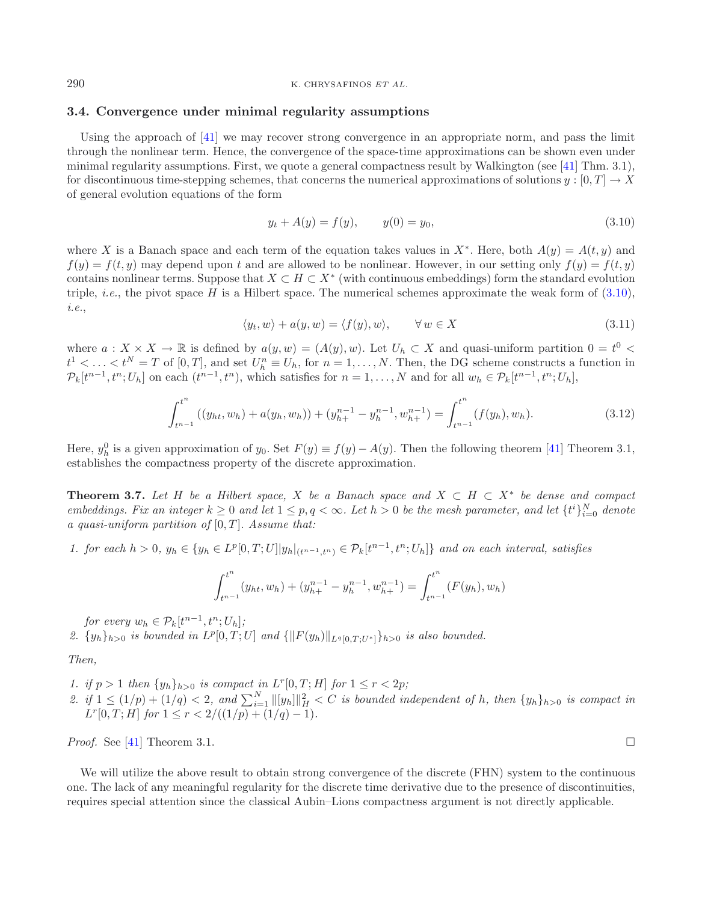#### **3.4. Convergence under minimal regularity assumptions**

Using the approach of [\[41\]](#page-23-7) we may recover strong convergence in an appropriate norm, and pass the limit through the nonlinear term. Hence, the convergence of the space-time approximations can be shown even under minimal regularity assumptions. First, we quote a general compactness result by Walkington (see [\[41\]](#page-23-7) Thm. 3.1), for discontinuous time-stepping schemes, that concerns the numerical approximations of solutions  $y : [0, T] \to X$ of general evolution equations of the form

$$
y_t + A(y) = f(y), \t y(0) = y_0,
$$
\t(3.10)

where X is a Banach space and each term of the equation takes values in  $X^*$ . Here, both  $A(y) = A(t, y)$  and  $f(y) = f(t, y)$  may depend upon t and are allowed to be nonlinear. However, in our setting only  $f(y) = f(t, y)$ contains nonlinear terms. Suppose that  $X \subset H \subset X^*$  (with continuous embeddings) form the standard evolution triple, *i.e.*, the pivot space H is a Hilbert space. The numerical schemes approximate the weak form of  $(3.10)$ , *i.e.*,

$$
\langle y_t, w \rangle + a(y, w) = \langle f(y), w \rangle, \qquad \forall w \in X \tag{3.11}
$$

where  $a: X \times X \to \mathbb{R}$  is defined by  $a(y, w) = (A(y), w)$ . Let  $U_h \subset X$  and quasi-uniform partition  $0 = t^0$  $t^1 < \ldots < t^N = T$  of  $[0, T]$ , and set  $U_h^n \equiv U_h$ , for  $n = 1, \ldots, N$ . Then, the DG scheme constructs a function in  $\mathcal{P}_k[t^{n-1}, t^n; U_h]$  on each  $(t^{n-1}, t^n)$ , which satisfies for  $n = 1, \ldots, N$  and for all  $w_h \in \mathcal{P}_k[t^{n-1}, t^n; U_h]$ ,

$$
\int_{t^{n-1}}^{t^n} ((y_{ht}, w_h) + a(y_h, w_h)) + (y_{h+}^{n-1} - y_h^{n-1}, w_{h+}^{n-1}) = \int_{t^{n-1}}^{t^n} (f(y_h), w_h). \tag{3.12}
$$

<span id="page-9-1"></span>Here,  $y_h^0$  is a given approximation of  $y_0$ . Set  $F(y) \equiv f(y) - A(y)$ . Then the following theorem [\[41\]](#page-23-7) Theorem 3.1, establishes the compactness property of the discrete approximation.

**Theorem 3.7.** Let H be a Hilbert space, X be a Banach space and  $X \subset H \subset X^*$  be dense and compact *embeddings. Fix an integer*  $k \geq 0$  *and let*  $1 \leq p, q < \infty$ . Let  $h > 0$  be the mesh parameter, and let  $\{t^i\}_{i=0}^N$  denote *a quasi-uniform partition of* [0, T ]*. Assume that:*

*1. for each*  $h > 0$ ,  $y_h ∈ \{y_h ∈ L^p[0,T;U]|y_h|_{(t^{n-1},t^n)} ∈ P_k[t^{n-1},t^n;U_h]\}$  *and on each interval, satisfies* 

$$
\int_{t^{n-1}}^{t^n} (y_{ht}, w_h) + (y_{h+}^{n-1} - y_h^{n-1}, w_{h+}^{n-1}) = \int_{t^{n-1}}^{t^n} (F(y_h), w_h)
$$

*for every*  $w_h \in \mathcal{P}_k[t^{n-1}, t^n; U_h]$ *;* 

*2.*  $\{y_h\}_{h>0}$  *is bounded in*  $L^p[0,T;U]$  *and*  $\{\|F(y_h)\|_{L^q[0,T;U^*]}\}_{h>0}$  *is also bounded.* 

*Then,*

*1. if*  $p > 1$  *then*  $\{y_h\}_{h>0}$  *is compact in*  $L^r[0, T; H]$  *for*  $1 \leq r < 2p$ *;* 

2. if  $1 \leq (1/p) + (1/q) < 2$ , and  $\sum_{i=1}^{N} ||[y_h]||_H^2 < C$  is bounded independent of h, then  $\{y_h\}_{h>0}$  is compact in  $L^r[0, T; H]$  *for*  $1 \leq r < 2/((1/p) + (1/q) - 1)$ *.* 

*Proof.* See [\[41](#page-23-7)] Theorem 3.1.

We will utilize the above result to obtain strong convergence of the discrete (FHN) system to the continuous one. The lack of any meaningful regularity for the discrete time derivative due to the presence of discontinuities, requires special attention since the classical Aubin–Lions compactness argument is not directly applicable.

<span id="page-9-0"></span>

<span id="page-9-2"></span> $\Box$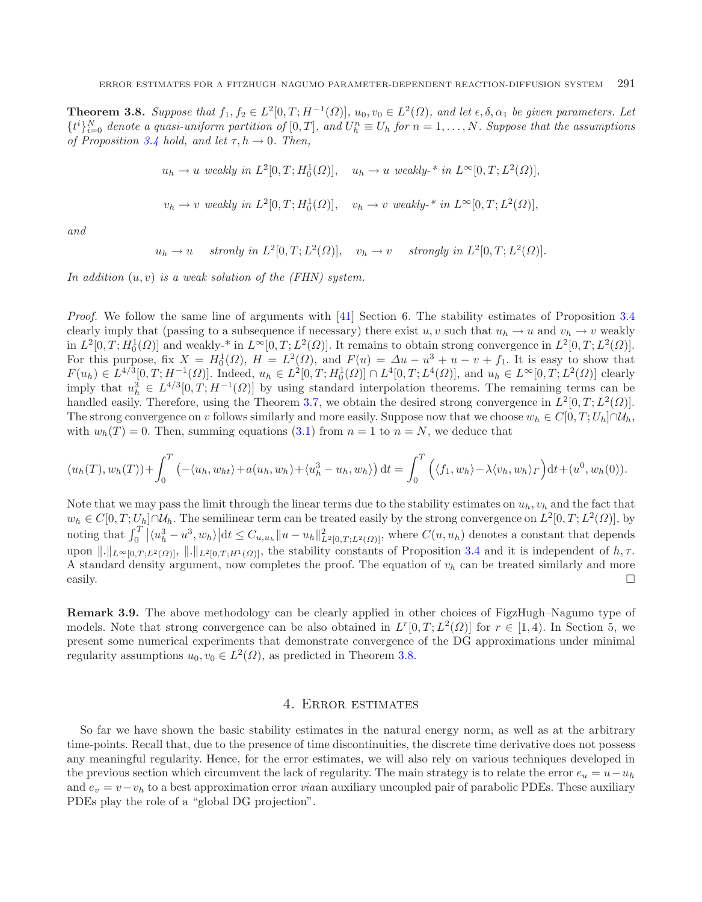**Theorem 3.8.** *Suppose that*  $f_1, f_2 \in L^2[0, T; H^{-1}(\Omega)], u_0, v_0 \in L^2(\Omega)$ *, and let*  $\epsilon, \delta, \alpha_1$  *be given parameters. Let*  $\{t^i\}_{i=0}^N$  denote a quasi-uniform partition of  $[0,T]$ , and  $U_h^n \equiv U_h$  for  $n = 1,\ldots,N$ . Suppose that the assumptions *of Proposition* [3.4](#page-6-3) *hold, and let*  $\tau, h \rightarrow 0$ *. Then,* 

> $u_h \to u$  weakly in  $L^2[0,T; H_0^1(\Omega)], \quad u_h \to u$  weakly-\* in  $L^{\infty}[0,T; L^2(\Omega)],$  $v_h \to v$  weakly in  $L^2[0,T; H_0^1(\Omega)], \quad v_h \to v$  weakly-\* in  $L^{\infty}[0,T; L^2(\Omega)],$

*and*

$$
u_h \to u
$$
 strongly in  $L^2[0, T; L^2(\Omega)], v_h \to v$  strongly in  $L^2[0, T; L^2(\Omega)].$ 

*In addition* (u, v) *is a weak solution of the (FHN) system.*

*Proof.* We follow the same line of arguments with [\[41](#page-23-7)] Section 6. The stability estimates of Proposition [3.4](#page-6-3) clearly imply that (passing to a subsequence if necessary) there exist  $u, v$  such that  $u_h \to u$  and  $v_h \to v$  weakly in  $L^2[0,T; H_0^1(\Omega)]$  and weakly-\* in  $L^{\infty}[0,T; L^2(\Omega)]$ . It remains to obtain strong convergence in  $L^2[0,T; L^2(\Omega)]$ . For this purpose, fix  $X = H_0^1(\Omega)$ ,  $H = L^2(\Omega)$ , and  $F(u) = \Delta u - u^3 + u - v + f_1$ . It is easy to show that  $F(u_h) \in L^{4/3}[0,T;H^{-1}(\Omega)]$ . Indeed,  $u_h \in L^2[0,T;H_0^1(\Omega)] \cap L^4[0,T;L^4(\Omega)]$ , and  $u_h \in L^{\infty}[0,T;L^2(\Omega)]$  clearly imply that  $u_h^3 \in L^{4/3}[0,T;H^{-1}(\Omega)]$  by using standard interpolation theorems. The remaining terms can be handled easily. Therefore, using the Theorem [3.7,](#page-9-1) we obtain the desired strong convergence in  $L^2[0, T; L^2(\Omega)]$ . The strong convergence on v follows similarly and more easily. Suppose now that we choose  $w_h \in C[0, T; U_h] \cap U_h$ , with  $w_h(T) = 0$ . Then, summing equations [\(3.1\)](#page-4-0) from  $n = 1$  to  $n = N$ , we deduce that

$$
(u_h(T), w_h(T)) + \int_0^T \left( -\langle u_h, w_{ht} \rangle + a(u_h, w_h) + \langle u_h^3 - u_h, w_h \rangle \right) dt = \int_0^T \left( \langle f_1, w_h \rangle - \lambda \langle v_h, w_h \rangle \right) dt + (u^0, w_h(0)).
$$

Note that we may pass the limit through the linear terms due to the stability estimates on  $u_h$ ,  $v_h$  and the fact that  $w_h \in C[0,T;U_h]\cap \mathcal{U}_h$ . The semilinear term can be treated easily by the strong convergence on  $L^2[0,T;L^2(\Omega)]$ , by noting that  $\int_0^T \left| \langle u_h^3 - u^3, w_h \rangle \right| dt \leq C_{u, u_h} \| u - u_h \|_{L^2[0, T; L^2(\Omega)]}^2$ , where  $C(u, u_h)$  denotes a constant that depends upon  $\|.\|_{L^{\infty}[0,T;L^2(\Omega)]}$ ,  $\|.\|_{L^2[0,T;H^1(\Omega)]}$ , the stability constants of Proposition [3.4](#page-6-3) and it is independent of  $h, \tau$ . A standard density argument, now completes the proof. The equation of  $v<sub>h</sub>$  can be treated similarly and more  $\Box$  easily.  $\Box$ 

**Remark 3.9.** The above methodology can be clearly applied in other choices of FigzHugh–Nagumo type of models. Note that strong convergence can be also obtained in  $L^r[0, T; L^2(\Omega)]$  for  $r \in [1, 4)$ . In Section 5, we present some numerical experiments that demonstrate convergence of the DG approximations under minimal regularity assumptions  $u_0, v_0 \in L^2(\Omega)$ , as predicted in Theorem [3.8.](#page-9-2)

## 4. Error estimates

So far we have shown the basic stability estimates in the natural energy norm, as well as at the arbitrary time-points. Recall that, due to the presence of time discontinuities, the discrete time derivative does not possess any meaningful regularity. Hence, for the error estimates, we will also rely on various techniques developed in the previous section which circumvent the lack of regularity. The main strategy is to relate the error  $e_u = u - u_h$ and e<sup>v</sup> = v−v<sup>h</sup> to a best approximation error *via*an auxiliary uncoupled pair of parabolic PDEs. These auxiliary PDEs play the role of a "global DG projection".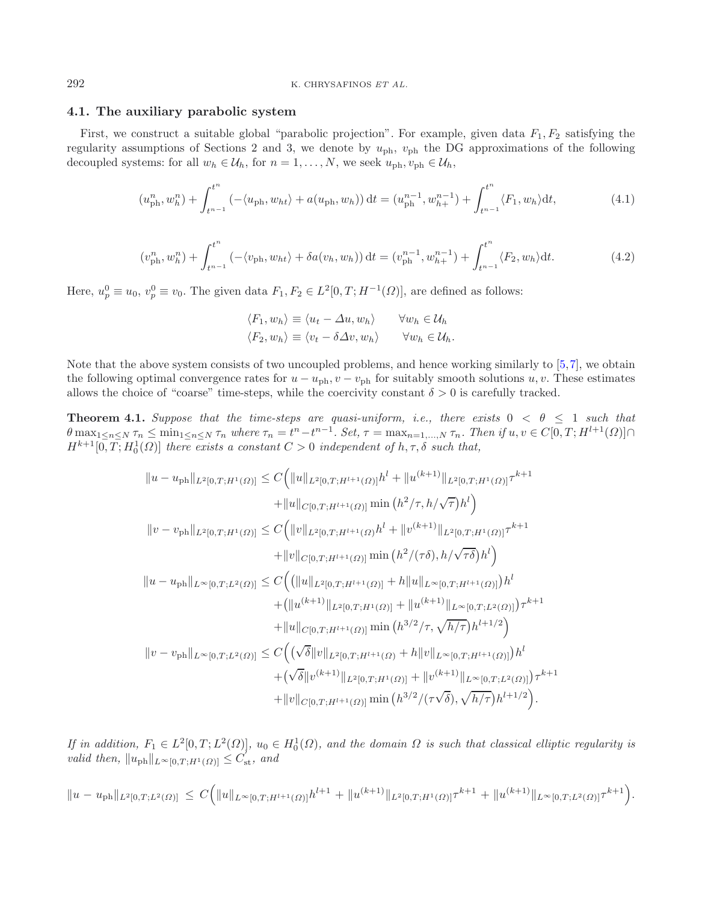# **4.1. The auxiliary parabolic system**

<span id="page-11-0"></span>First, we construct a suitable global "parabolic projection". For example, given data  $F_1, F_2$  satisfying the regularity assumptions of Sections 2 and 3, we denote by  $u_{\text{ph}}$ ,  $v_{\text{ph}}$  the DG approximations of the following decoupled systems: for all  $w_h \in \mathcal{U}_h$ , for  $n = 1, \ldots, N$ , we seek  $u_{ph}, v_{ph} \in \mathcal{U}_h$ ,

$$
(u_{\rm ph}^n, w_h^n) + \int_{t^{n-1}}^{t^n} \left( -\langle u_{\rm ph}, w_{ht} \rangle + a(u_{\rm ph}, w_h) \right) dt = (u_{\rm ph}^{n-1}, w_{h+}^{n-1}) + \int_{t^{n-1}}^{t^n} \langle F_1, w_h \rangle dt,
$$
(4.1)

$$
(v_{\rm ph}^n, w_h^n) + \int_{t^{n-1}}^{t^n} \left( -\langle v_{\rm ph}, w_{ht} \rangle + \delta a(v_h, w_h) \right) dt = (v_{\rm ph}^{n-1}, w_{h+}^{n-1}) + \int_{t^{n-1}}^{t^n} \langle F_2, w_h \rangle dt. \tag{4.2}
$$

<span id="page-11-1"></span>Here,  $u_p^0 \equiv u_0$ ,  $v_p^0 \equiv v_0$ . The given data  $F_1, F_2 \in L^2[0,T;H^{-1}(\Omega)]$ , are defined as follows:

<span id="page-11-2"></span>
$$
\langle F_1, w_h \rangle \equiv \langle u_t - \Delta u, w_h \rangle \qquad \forall w_h \in \mathcal{U}_h
$$
  

$$
\langle F_2, w_h \rangle \equiv \langle v_t - \delta \Delta v, w_h \rangle \qquad \forall w_h \in \mathcal{U}_h.
$$

Note that the above system consists of two uncoupled problems, and hence working similarly to [\[5](#page-22-26)[,7](#page-22-3)], we obtain the following optimal convergence rates for  $u - u_{\text{ph}}$ ,  $v - v_{\text{ph}}$  for suitably smooth solutions u, v. These estimates allows the choice of "coarse" time-steps, while the coercivity constant  $\delta > 0$  is carefully tracked.

**Theorem 4.1.** *Suppose that the time-steps are quasi-uniform, i.e., there exists*  $0 < \theta \leq 1$  *such that*  $\theta \max_{1 \leq n \leq N} \tau_n \leq \min_{1 \leq n \leq N} \tau_n$  where  $\tau_n = t^n - t^{n-1}$ . Set,  $\tau = \max_{n=1,\dots,N} \tau_n$ . Then if  $u, v \in C[0, T; H^{l+1}(\Omega)] \cap$  $H^{k+1}[0,T;H_0^1(\Omega)]$  *there exists a constant*  $C>0$  *independent of*  $h, \tau, \delta$  *such that,* 

$$
||u - u_{ph}||_{L^{2}[0,T;H^{1}(\Omega)]} \leq C \Big( ||u||_{L^{2}[0,T;H^{l+1}(\Omega)]} h^{l} + ||u^{(k+1)}||_{L^{2}[0,T;H^{1}(\Omega)]} \tau^{k+1}
$$
  
+ 
$$
||u||_{C[0,T;H^{l+1}(\Omega)]} \min (h^{2}/\tau, h/\sqrt{\tau})h^{l}\Big)
$$
  

$$
||v - v_{ph}||_{L^{2}[0,T;H^{1}(\Omega)]} \leq C \Big( ||v||_{L^{2}[0,T;H^{l+1}(\Omega)} h^{l} + ||v^{(k+1)}||_{L^{2}[0,T;H^{1}(\Omega)]} \tau^{k+1}
$$
  
+ 
$$
||v||_{C[0,T;H^{l+1}(\Omega)]} \min (h^{2}/(\tau\delta), h/\sqrt{\tau\delta})h^{l}\Big)
$$
  

$$
||u - u_{ph}||_{L^{\infty}[0,T;L^{2}(\Omega)]} \leq C \Big( (||u||_{L^{2}[0,T;H^{l+1}(\Omega)]} + h||u||_{L^{\infty}[0,T;H^{l+1}(\Omega)]}\Big)h^{l}
$$
  
+ 
$$
(||u^{(k+1)}||_{L^{2}[0,T;H^{l}(\Omega)]} + ||u^{(k+1)}||_{L^{\infty}[0,T;L^{2}(\Omega)]}\Big) \tau^{k+1}
$$
  
+ 
$$
||u||_{C[0,T;H^{l+1}(\Omega)]} \min (h^{3/2}/\tau, \sqrt{h/\tau})h^{l+1/2}\Big)
$$
  

$$
||v - v_{ph}||_{L^{\infty}[0,T;L^{2}(\Omega)]} \leq C \Big( (\sqrt{\delta}||v||_{L^{2}[0,T;H^{l+1}(\Omega)} + h||v||_{L^{\infty}[0,T;H^{l+1}(\Omega)]}\Big)h^{l}
$$
  
+ 
$$
(\sqrt{\delta}||v^{(k+1)}||_{L^{2}[0,T;H^{l}(\Omega)]} + ||v^{(k+1)}||_{L^{\infty}[0,T;L^{2}(\Omega)]}\Big) \tau^{k+1}
$$
  
+ 
$$
||v||_{C[0,T;H^{l+1}(\Omega)]} \min (h^{3/2}/(\tau\sqrt{\delta}), \sqrt{h/\tau})h^{l+1/2}\Big).
$$

*If in addition,*  $F_1 \in L^2[0,T; L^2(\Omega)]$ ,  $u_0 \in H_0^1(\Omega)$ , and the domain  $\Omega$  is such that classical elliptic regularity is *valid then,*  $||u_{\text{ph}}||_{L^{\infty}[0,T;H^1(\Omega)]} \leq C'_{\text{st}}$ *, and* 

$$
||u - u_{ph}||_{L^{2}[0,T;L^{2}(\Omega)]} \leq C \Big( ||u||_{L^{\infty}[0,T;H^{l+1}(\Omega)]} h^{l+1} + ||u^{(k+1)}||_{L^{2}[0,T;H^{1}(\Omega)]} \tau^{k+1} + ||u^{(k+1)}||_{L^{\infty}[0,T;L^{2}(\Omega)]} \tau^{k+1} \Big).
$$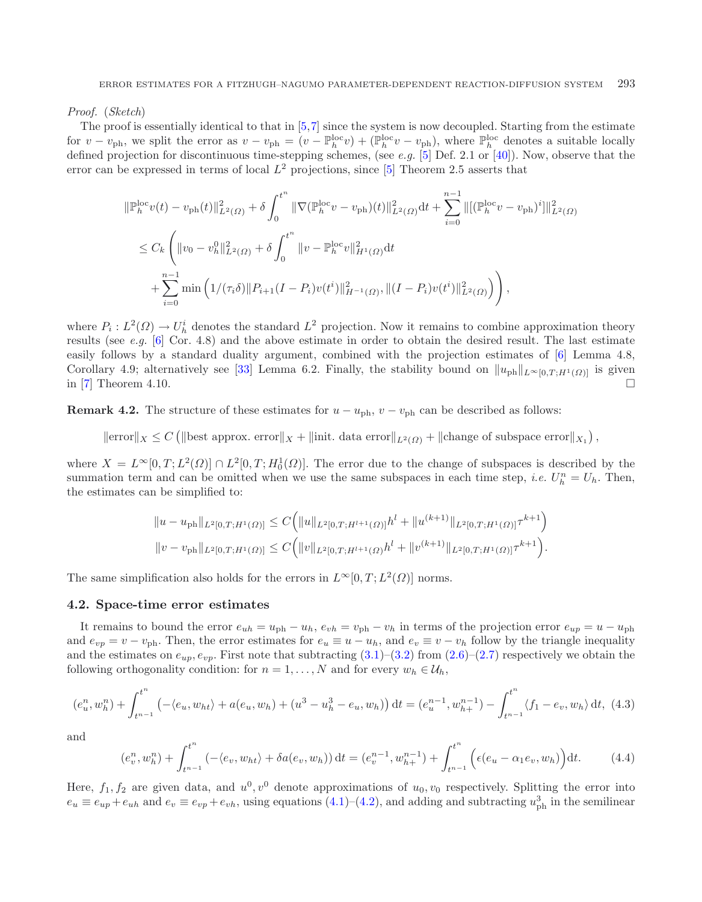*Proof.* (*Sketch*)

The proof is essentially identical to that in  $[5,7]$  $[5,7]$  $[5,7]$  since the system is now decoupled. Starting from the estimate for  $v - v_{\text{ph}}$ , we split the error as  $v - v_{\text{ph}} = (v - \mathbb{P}_h^{\text{loc}} v) + (\mathbb{P}_h^{\text{loc}} v - v_{\text{ph}})$ , where  $\mathbb{P}_h^{\text{loc}}$  denotes a suitable locally defined projection for discontinuous time-stepping schemes, (see *e.g.* [\[5](#page-22-26)] Def. 2.1 or [\[40\]](#page-23-4)). Now, observe that the error can be expressed in terms of local  $L^2$  projections, since [\[5\]](#page-22-26) Theorem 2.5 asserts that

$$
\begin{split} &\|\mathbb{P}_{h}^{\text{loc}}v(t)-v_{\text{ph}}(t)\|_{L^{2}(\Omega)}^{2}+\delta\int_{0}^{t^{n}}\|\nabla(\mathbb{P}_{h}^{\text{loc}}v-v_{\text{ph}})(t)\|_{L^{2}(\Omega)}^{2}\text{d}t+\sum_{i=0}^{n-1}\|[(\mathbb{P}_{h}^{\text{loc}}v-v_{\text{ph}})^{i}]\|_{L^{2}(\Omega)}^{2} \\ &\leq C_{k}\left(\|v_{0}-v_{h}^{0}\|_{L^{2}(\Omega)}^{2}+\delta\int_{0}^{t^{n}}\|v-\mathbb{P}_{h}^{\text{loc}}v\|_{H^{1}(\Omega)}^{2}\text{d}t\right. \\ &\left.+\sum_{i=0}^{n-1}\min\left(1/(\tau_{i}\delta)\|P_{i+1}(I-P_{i})v(t^{i})\|_{H^{-1}(\Omega)}^{2},\|(I-P_{i})v(t^{i})\|_{L^{2}(\Omega)}^{2}\right)\right), \end{split}
$$

where  $P_i: L^2(\Omega) \to U_h^i$  denotes the standard  $L^2$  projection. Now it remains to combine approximation theory results (see *e.g.* [\[6\]](#page-22-27) Cor. 4.8) and the above estimate in order to obtain the desired result. The last estimate easily follows by a standard duality argument, combined with the projection estimates of [\[6](#page-22-27)] Lemma 4.8, Corollary 4.9; alternatively see [\[33\]](#page-23-8) Lemma 6.2. Finally, the stability bound on  $||u_{\text{ph}}||_{L^{\infty}[0,T:H^{1}(\Omega)]}$  is given in [\[7](#page-22-3)] Theorem 4.10.  $\Box$ 

**Remark 4.2.** The structure of these estimates for  $u - u_{\text{ph}}$ ,  $v - v_{\text{ph}}$  can be described as follows:

 $\|\text{error}\|_X \leq C \left( \|\text{best approx. error}\|_X + \|\text{init. data error}\|_{L^2(\Omega)} + \|\text{change of subspace error}\|_{X_1} \right),$ 

where  $X = L^{\infty}[0,T; L^{2}(\Omega)] \cap L^{2}[0,T; H_{0}^{1}(\Omega)]$ . The error due to the change of subspaces is described by the summation term and can be omitted when we use the same subspaces in each time step, *i.e.*  $U_h^n = U_h$ . Then, the estimates can be simplified to:

<span id="page-12-0"></span>
$$
||u - u_{ph}||_{L^{2}[0,T;H^{1}(\Omega)]} \leq C \Big( ||u||_{L^{2}[0,T;H^{l+1}(\Omega)]} h^{l} + ||u^{(k+1)}||_{L^{2}[0,T;H^{1}(\Omega)]} \tau^{k+1} \Big)
$$
  

$$
||v - v_{ph}||_{L^{2}[0,T;H^{1}(\Omega)]} \leq C \Big( ||v||_{L^{2}[0,T;H^{l+1}(\Omega)} h^{l} + ||v^{(k+1)}||_{L^{2}[0,T;H^{1}(\Omega)]} \tau^{k+1} \Big).
$$

<span id="page-12-1"></span>The same simplification also holds for the errors in  $L^{\infty}[0, T; L^2(\Omega)]$  norms.

#### **4.2. Space-time error estimates**

It remains to bound the error  $e_{uh} = u_{ph} - u_h$ ,  $e_{vh} = v_{ph} - v_h$  in terms of the projection error  $e_{up} = u - u_{ph}$ and  $e_{vp} = v - v_{ph}$ . Then, the error estimates for  $e_u \equiv u - u_h$ , and  $e_v \equiv v - v_h$  follow by the triangle inequality and the estimates on  $e_{up}$ ,  $e_{vp}$ . First note that subtracting  $(3.1)$ – $(3.2)$  from  $(2.6)$ – $(2.7)$  respectively we obtain the following orthogonality condition: for  $n = 1, ..., N$  and for every  $w_h \in \mathcal{U}_h$ ,

$$
(e_u^n, w_h^n) + \int_{t^{n-1}}^{t^n} \left( -\langle e_u, w_{ht} \rangle + a(e_u, w_h) + (u^3 - u_h^3 - e_u, w_h) \right) dt = (e_u^{n-1}, w_{h+}^{n-1}) - \int_{t^{n-1}}^{t^n} \langle f_1 - e_v, w_h \rangle dt, (4.3)
$$

and

$$
(e_v^n, w_h^n) + \int_{t^{n-1}}^{t^n} \left( -\langle e_v, w_{ht} \rangle + \delta a(e_v, w_h) \right) dt = (e_v^{n-1}, w_{h+}^{n-1}) + \int_{t^{n-1}}^{t^n} \left( \epsilon(e_u - \alpha_1 e_v, w_h) \right) dt. \tag{4.4}
$$

Here,  $f_1, f_2$  are given data, and  $u^0, v^0$  denote approximations of  $u_0, v_0$  respectively. Splitting the error into  $e_u \equiv e_{up} + e_{uh}$  and  $e_v \equiv e_{vp} + e_{vh}$ , using equations  $(4.1)$ – $(4.2)$ , and adding and subtracting  $u_{\rm ph}^3$  in the semilinear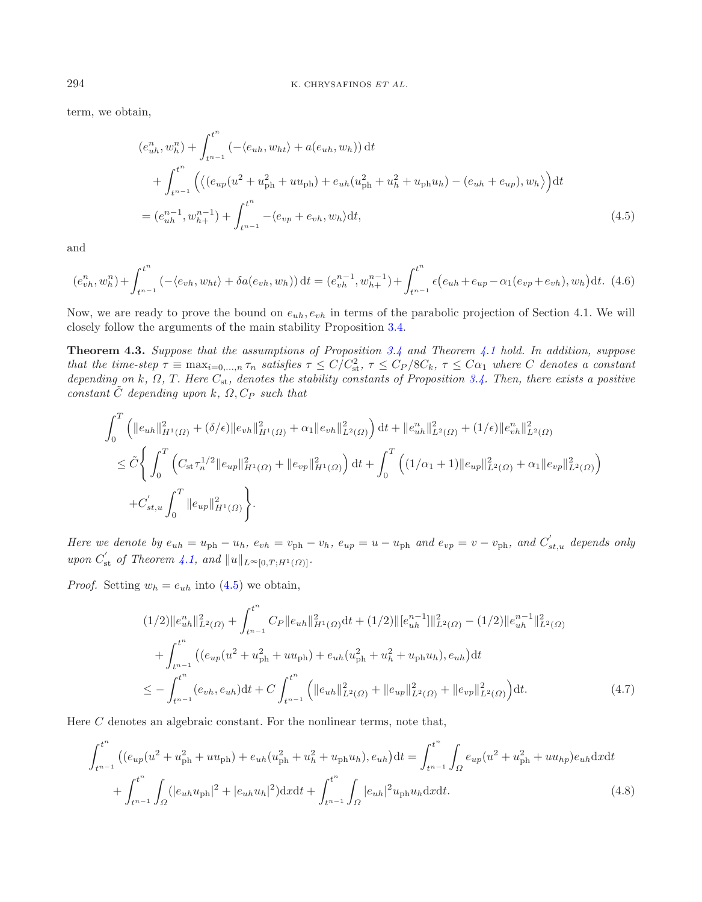term, we obtain,

<span id="page-13-4"></span><span id="page-13-0"></span>
$$
(e_{uh}^n, w_h^n) + \int_{t^{n-1}}^{t^n} \left( -\langle e_{uh}, w_{ht} \rangle + a(e_{uh}, w_h) \right) dt
$$
  
+ 
$$
\int_{t^{n-1}}^{t^n} \left( \langle (e_{up}(u^2 + u_{\text{ph}}^2 + uu_{\text{ph}}) + e_{uh}(u_{\text{ph}}^2 + u_{\text{ph}}^2 + u_{\text{ph}}u_h) - (e_{uh} + e_{up}), w_h \rangle \right) dt
$$
  
= 
$$
(e_{uh}^{n-1}, w_{h+}^{n-1}) + \int_{t^{n-1}}^{t^n} -\langle e_{vp} + e_{vh}, w_h \rangle dt,
$$
 (4.5)

and

$$
(e_{vh}^n, w_h^n) + \int_{t^{n-1}}^{t^n} \left( -\langle e_{vh}, w_{ht} \rangle + \delta a(e_{vh}, w_h) \right) dt = (e_{vh}^{n-1}, w_{h+}^{n-1}) + \int_{t^{n-1}}^{t^n} \epsilon(e_{uh} + e_{up} - \alpha_1(e_{vp} + e_{vh}), w_h) dt. \tag{4.6}
$$

Now, we are ready to prove the bound on  $e_{uh}, e_{vh}$  in terms of the parabolic projection of Section 4.1. We will closely follow the arguments of the main stability Proposition [3.4.](#page-6-3)

**Theorem 4.3.** *Suppose that the assumptions of Proposition [3.4](#page-6-3) and Theorem [4.1](#page-11-2) hold. In addition, suppose that the time-step*  $\tau \equiv \max_{i=0,\dots,n} \tau_n$  *satisfies*  $\tau \le C/C_{\rm st}^2$ ,  $\tau \le C_P/8C_k$ ,  $\tau \le C\alpha_1$  *where* C *denotes* a constant *depending on* k*,* Ω*,* T. *Here* Cst*, denotes the stability constants of Proposition [3.4.](#page-6-3) Then, there exists a positive*  $constant \tilde{C}$  *depending upon*  $k$ ,  $\Omega$ ,  $C_P$  *such that* 

<span id="page-13-1"></span>
$$
\int_0^T \left( \|e_{uh}\|_{H^1(\Omega)}^2 + (\delta/\epsilon) \|e_{vh}\|_{H^1(\Omega)}^2 + \alpha_1 \|e_{vh}\|_{L^2(\Omega)}^2 \right) dt + \|e_{uh}^n\|_{L^2(\Omega)}^2 + (1/\epsilon) \|e_{vh}^n\|_{L^2(\Omega)}^2
$$
\n
$$
\leq \tilde{C} \left\{ \int_0^T \left( C_{\text{st}} \tau_n^{1/2} \|e_{up}\|_{H^1(\Omega)}^2 + \|e_{vp}\|_{H^1(\Omega)}^2 \right) dt + \int_0^T \left( (1/\alpha_1 + 1) \|e_{up}\|_{L^2(\Omega)}^2 + \alpha_1 \|e_{vp}\|_{L^2(\Omega)}^2 \right) dt \right\}
$$
\n
$$
+ C_{st,u}' \int_0^T \|e_{up}\|_{H^1(\Omega)}^2 \right\}.
$$

*Here we denote by*  $e_{uh} = u_{ph} - u_h$ ,  $e_{vh} = v_{ph} - v_h$ ,  $e_{up} = u - u_{ph}$  and  $e_{vp} = v - v_{ph}$ , and  $C'_{st,u}$  depends only  $upon C'_{st}$  *of Theorem [4.1,](#page-11-2)* and  $||u||_{L^{\infty}[0,T;H^1(\Omega)]}$ .

*Proof.* Setting  $w_h = e_{uh}$  into [\(4.5\)](#page-13-0) we obtain,

<span id="page-13-2"></span>
$$
(1/2) \|e_{uh}^{n}\|_{L^{2}(\Omega)}^{2} + \int_{t^{n-1}}^{t^{n}} C_{P} \|e_{uh}\|_{H^{1}(\Omega)}^{2} dt + (1/2) \|e_{uh}^{n-1}\|_{L^{2}(\Omega)}^{2} - (1/2) \|e_{uh}^{n-1}\|_{L^{2}(\Omega)}^{2}
$$
  
+ 
$$
\int_{t^{n-1}}^{t^{n}} \left( (e_{up}(u^{2} + u_{\text{ph}}^{2} + uu_{\text{ph}}) + e_{uh}(u_{\text{ph}}^{2} + u_{\text{ph}}^{2} + u_{\text{ph}}u_{h}), e_{uh} \right) dt
$$
  

$$
\leq - \int_{t^{n-1}}^{t^{n}} (e_{vh}, e_{uh}) dt + C \int_{t^{n-1}}^{t^{n}} \left( \|e_{uh}\|_{L^{2}(\Omega)}^{2} + \|e_{up}\|_{L^{2}(\Omega)}^{2} + \|e_{vp}\|_{L^{2}(\Omega)}^{2} \right) dt.
$$
 (4.7)

Here C denotes an algebraic constant. For the nonlinear terms, note that,

$$
\int_{t^{n-1}}^{t^n} \left( (e_{up}(u^2 + u_{\text{ph}}^2 + uu_{\text{ph}}) + e_{uh}(u_{\text{ph}}^2 + u_h^2 + u_{\text{ph}}u_h), e_{uh}) dt = \int_{t^{n-1}}^{t^n} \int_{\Omega} e_{up}(u^2 + u_{\text{ph}}^2 + uu_{\text{hp}}) e_{uh} dx dt + \int_{t^{n-1}}^{t^n} \int_{\Omega} (|e_{uh}u_{\text{ph}}|^2 + |e_{uh}u_h|^2) dx dt + \int_{t^{n-1}}^{t^n} \int_{\Omega} |e_{uh}|^2 u_{\text{ph}} u_h dx dt.
$$
 (4.8)

<span id="page-13-3"></span>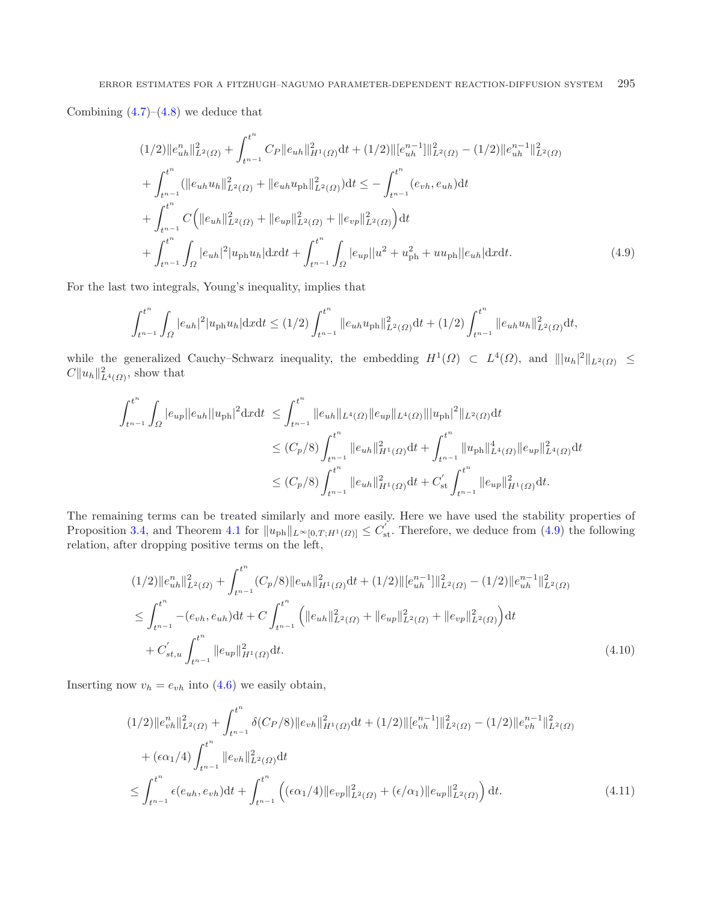Combining  $(4.7)$ – $(4.8)$  we deduce that

<span id="page-14-0"></span>
$$
(1/2)\|e_{uh}^{n}\|_{L^{2}(\Omega)}^{2} + \int_{t^{n-1}}^{t^{n}} C_{P} \|e_{uh}\|_{H^{1}(\Omega)}^{2} dt + (1/2) \|e_{uh}^{n-1}\|_{L^{2}(\Omega)}^{2} - (1/2) \|e_{uh}^{n-1}\|_{L^{2}(\Omega)}^{2}
$$
  
+ 
$$
\int_{t^{n-1}}^{t^{n}} (||e_{uh}u_{h}||_{L^{2}(\Omega)}^{2} + ||e_{uh}u_{ph}||_{L^{2}(\Omega)}^{2}) dt \le - \int_{t^{n-1}}^{t^{n}} (e_{vh}, e_{uh}) dt
$$
  
+ 
$$
\int_{t^{n-1}}^{t^{n}} C (||e_{uh}||_{L^{2}(\Omega)}^{2} + ||e_{up}||_{L^{2}(\Omega)}^{2} + ||e_{vp}||_{L^{2}(\Omega)}^{2}) dt
$$
  
+ 
$$
\int_{t^{n-1}}^{t^{n}} \int_{\Omega} |e_{uh}|^{2} |u_{ph}u_{h}| dx dt + \int_{t^{n-1}}^{t^{n}} \int_{\Omega} |e_{up}| |u^{2} + u_{ph}^{2} + uu_{ph}||e_{uh}| dx dt.
$$
 (4.9)

For the last two integrals, Young's inequality, implies that

$$
\int_{t^{n-1}}^{t^n} \int_{\Omega} |e_{uh}|^2 |u_{\text{ph}} u_h| \, \mathrm{d}x \mathrm{d}t \le (1/2) \int_{t^{n-1}}^{t^n} \|e_{uh} u_{\text{ph}}\|_{L^2(\Omega)}^2 \mathrm{d}t + (1/2) \int_{t^{n-1}}^{t^n} \|e_{uh} u_h\|_{L^2(\Omega)}^2 \mathrm{d}t,
$$

while the generalized Cauchy–Schwarz inequality, the embedding  $H^1(\Omega) \subset L^4(\Omega)$ , and  $||u_h|^2||_{L^2(\Omega)} \le$  $C||u_h||^2_{L^4(\Omega)}$ , show that

$$
\int_{t^{n-1}}^{t^n} \int_{\Omega} |e_{up}||e_{uh}||u_{\text{ph}}|^2 dxdt \leq \int_{t^{n-1}}^{t^n} ||e_{uh}||_{L^4(\Omega)} ||e_{up}||_{L^4(\Omega)} |||u_{\text{ph}}|^2||_{L^2(\Omega)}dt
$$
  

$$
\leq (C_p/8) \int_{t^{n-1}}^{t^n} ||e_{uh}||_{H^1(\Omega)}^2 dt + \int_{t^{n-1}}^{t^n} ||u_{\text{ph}}||_{L^4(\Omega)}^4 ||e_{up}||_{L^4(\Omega)}^2 dt
$$
  

$$
\leq (C_p/8) \int_{t^{n-1}}^{t^n} ||e_{uh}||_{H^1(\Omega)}^2 dt + C'_{\text{st}} \int_{t^{n-1}}^{t^n} ||e_{up}||_{H^1(\Omega)}^2 dt.
$$

The remaining terms can be treated similarly and more easily. Here we have used the stability properties of Proposition [3.4,](#page-6-3) and Theorem [4.1](#page-11-2) for  $||u_{ph}||_{L^{\infty}[0,T;H^1(\Omega)]} \leq C'_{st}$ . Therefore, we deduce from [\(4.9\)](#page-14-0) the following relation, after dropping positive terms on the left,

<span id="page-14-2"></span><span id="page-14-1"></span>
$$
(1/2) \|e_{uh}^n\|_{L^2(\Omega)}^2 + \int_{t^{n-1}}^{t^n} (C_p/8) \|e_{uh}\|_{H^1(\Omega)}^2 \mathrm{d}t + (1/2) \|e_{uh}^{n-1}\|_{L^2(\Omega)}^2 - (1/2) \|e_{uh}^{n-1}\|_{L^2(\Omega)}^2
$$
  

$$
\leq \int_{t^{n-1}}^{t^n} -(e_{vh}, e_{uh}) \mathrm{d}t + C \int_{t^{n-1}}^{t^n} \left( \|e_{uh}\|_{L^2(\Omega)}^2 + \|e_{up}\|_{L^2(\Omega)}^2 + \|e_{vp}\|_{L^2(\Omega)}^2 \right) \mathrm{d}t + C'_{st,u} \int_{t^{n-1}}^{t^n} \|e_{up}\|_{H^1(\Omega)}^2 \mathrm{d}t.
$$
 (4.10)

Inserting now  $v_h = e_{vh}$  into [\(4.6\)](#page-13-3) we easily obtain,

$$
(1/2) \|e_{vh}^n\|_{L^2(\Omega)}^2 + \int_{t^{n-1}}^{t^n} \delta(C_P/8) \|e_{vh}\|_{H^1(\Omega)}^2 dt + (1/2) \|e_{vh}^{n-1}\|_{L^2(\Omega)}^2 - (1/2) \|e_{vh}^{n-1}\|_{L^2(\Omega)}^2
$$
  
+ 
$$
(\epsilon \alpha_1/4) \int_{t^{n-1}}^{t^n} \|e_{vh}\|_{L^2(\Omega)}^2 dt
$$
  

$$
\leq \int_{t^{n-1}}^{t^n} \epsilon(e_{uh}, e_{vh}) dt + \int_{t^{n-1}}^{t^n} \left( (\epsilon \alpha_1/4) \|e_{vp}\|_{L^2(\Omega)}^2 + (\epsilon/\alpha_1) \|e_{up}\|_{L^2(\Omega)}^2 \right) dt.
$$
 (4.11)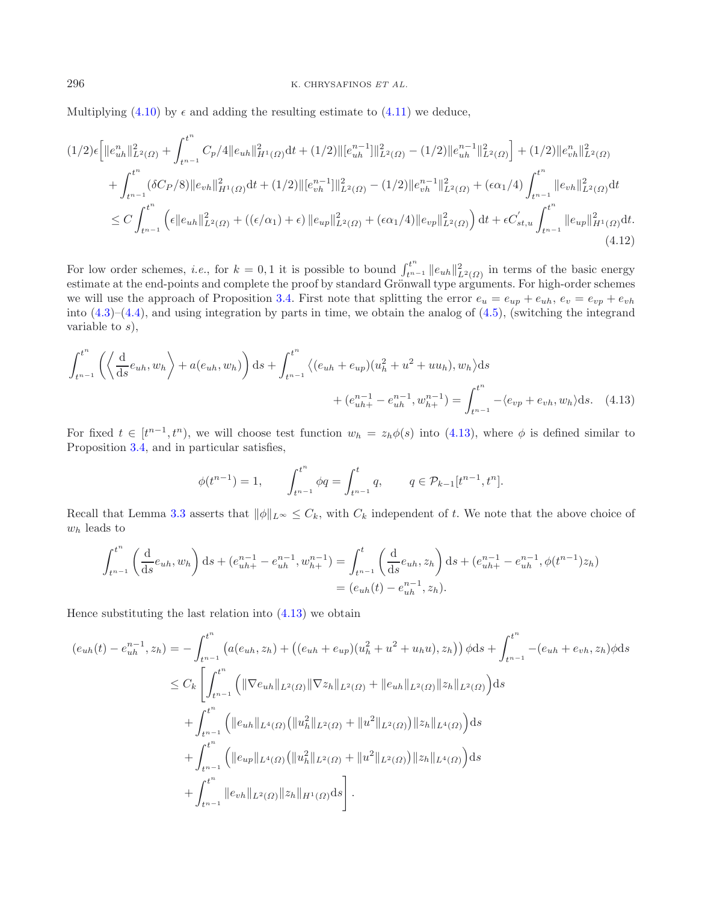<span id="page-15-1"></span>Multiplying [\(4.10\)](#page-14-1) by  $\epsilon$  and adding the resulting estimate to [\(4.11\)](#page-14-2) we deduce,

$$
(1/2)\epsilon \left[ \left\|e_{uh}^{n}\right\|_{L^{2}(\Omega)}^{2} + \int_{t^{n-1}}^{t^{n}} C_{p}/4 \left\|e_{uh}\right\|_{H^{1}(\Omega)}^{2} \mathrm{d}t + (1/2) \left\| [e_{uh}^{n-1}] \right\|_{L^{2}(\Omega)}^{2} - (1/2) \left\|e_{uh}^{n-1}\right\|_{L^{2}(\Omega)}^{2} \right] + (1/2) \left\|e_{vh}^{n}\right\|_{L^{2}(\Omega)}^{2} + \int_{t^{n-1}}^{t^{n}} (\delta C_{P}/8) \left\|e_{vh}\right\|_{H^{1}(\Omega)}^{2} \mathrm{d}t + (1/2) \left\| [e_{vh}^{n-1}] \right\|_{L^{2}(\Omega)}^{2} - (1/2) \left\|e_{vh}^{n-1}\right\|_{L^{2}(\Omega)}^{2} + (\epsilon \alpha_{1}/4) \int_{t^{n-1}}^{t^{n}} \left\|e_{vh}\right\|_{L^{2}(\Omega)}^{2} \mathrm{d}t + \int_{t^{n-1}}^{t^{n}} \left\|e_{hh}\right\|_{L^{2}(\Omega)}^{2} \mathrm{d}t + \int_{t^{n-1}}^{t^{n}} \left\|e_{hh}\right\|_{L^{2}(\Omega)}^{2} + \left(\epsilon \alpha_{1}/4\right) \left\|e_{vp}\right\|_{L^{2}(\Omega)}^{2} + (\epsilon \alpha_{1}/4) \left\|e_{vp}\right\|_{L^{2}(\Omega)}^{2} \right) \mathrm{d}t + \epsilon C_{st,u}' \int_{t^{n-1}}^{t^{n}} \left\|e_{up}\right\|_{H^{1}(\Omega)}^{2} \mathrm{d}t + (1/2) \left\|e_{hh}\right\|_{L^{2}(\Omega)}^{2} \mathrm{d}t + \int_{t^{n-1}}^{t^{n}} \left\|e_{hp}\right\|_{H^{1}(\Omega)}^{2} \mathrm{d}t + (1/2) \left\|e_{hh}\right\|_{L^{2}(\Omega)}^{2} + (1/2) \left\|e_{hp}\right\|_{L^{2}(\Omega)}^{2} \right) \mathrm{d}t + \epsilon C_{st,u}' \int_{t^{n-1}}^{t^{n}} \left\|e_{hp}\right\|_{H^{1}(\Omega)}^{2} \mathrm{d}t + (1/2)
$$

For low order schemes, *i.e.*, for  $k = 0, 1$  it is possible to bound  $\int_{t^{n-1}}^{t^n} ||e_{uh}||_{L^2(\Omega)}^2$  in terms of the basic energy estimate at the end-points and complete the proof by standard Grönwall type arguments. For high-order schemes we will use the approach of Proposition [3.4.](#page-6-3) First note that splitting the error  $e_u = e_{up} + e_{uh}$ ,  $e_v = e_{vp} + e_{vh}$ into [\(4.3\)](#page-12-0)–[\(4.4\)](#page-12-1), and using integration by parts in time, we obtain the analog of [\(4.5\)](#page-13-0), (switching the integrand variable to  $s$ ),

$$
\int_{t^{n-1}}^{t^n} \left( \left\langle \frac{d}{ds} e_{uh}, w_h \right\rangle + a(e_{uh}, w_h) \right) ds + \int_{t^{n-1}}^{t^n} \left\langle (e_{uh} + e_{up})(u_h^2 + u^2 + uu_h), w_h \right\rangle ds + (e_{uh+}^{n-1} - e_{uh}^{n-1}, w_{h+}^{n-1}) = \int_{t^{n-1}}^{t^n} - \left\langle e_{vp} + e_{vh}, w_h \right\rangle ds. \tag{4.13}
$$

For fixed  $t \in [t^{n-1}, t^n)$ , we will choose test function  $w_h = z_h \phi(s)$  into [\(4.13\)](#page-15-0), where  $\phi$  is defined similar to Proposition [3.4,](#page-6-3) and in particular satisfies,

<span id="page-15-0"></span>
$$
\phi(t^{n-1}) = 1, \qquad \int_{t^{n-1}}^{t^n} \phi q = \int_{t^{n-1}}^t q, \qquad q \in \mathcal{P}_{k-1}[t^{n-1}, t^n].
$$

Recall that Lemma [3.3](#page-5-0) asserts that  $\|\phi\|_{L^{\infty}} \leq C_k$ , with  $C_k$  independent of t. We note that the above choice of  $w_h$  leads to

$$
\int_{t^{n-1}}^{t^n} \left( \frac{d}{ds} e_{uh}, w_h \right) ds + (e_{uh+}^{n-1} - e_{uh}^{n-1}, w_{h+}^{n-1}) = \int_{t^{n-1}}^t \left( \frac{d}{ds} e_{uh}, z_h \right) ds + (e_{uh+}^{n-1} - e_{uh}^{n-1}, \phi(t^{n-1}) z_h)
$$

$$
= (e_{uh}(t) - e_{uh}^{n-1}, z_h).
$$

Hence substituting the last relation into  $(4.13)$  we obtain

$$
(e_{uh}(t) - e_{uh}^{n-1}, z_h) = -\int_{t^{n-1}}^{t^n} \left( a(e_{uh}, z_h) + \left( (e_{uh} + e_{up})(u_h^2 + u^2 + u_h u), z_h \right) \right) \phi \, ds + \int_{t^{n-1}}^{t^n} -(e_{uh} + e_{vh}, z_h) \phi \, ds
$$
  
\n
$$
\leq C_k \left[ \int_{t^{n-1}}^{t^n} \left( \|\nabla e_{uh}\|_{L^2(\Omega)} \|\nabla z_h\|_{L^2(\Omega)} + \|e_{uh}\|_{L^2(\Omega)} \|z_h\|_{L^2(\Omega)} \right) \, ds \right.
$$
  
\n
$$
+ \int_{t^{n-1}}^{t^n} \left( \|e_{uh}\|_{L^4(\Omega)} (\|u_h^2\|_{L^2(\Omega)} + \|u^2\|_{L^2(\Omega)}) \|z_h\|_{L^4(\Omega)} \right) \, ds
$$
  
\n
$$
+ \int_{t^{n-1}}^{t^n} \left( \|e_{up}\|_{L^4(\Omega)} (\|u_h^2\|_{L^2(\Omega)} + \|u^2\|_{L^2(\Omega)}) \|z_h\|_{L^4(\Omega)} \right) \, ds
$$
  
\n
$$
+ \int_{t^{n-1}}^{t^n} \|e_{vh}\|_{L^2(\Omega)} \|z_h\|_{H^1(\Omega)} \, ds \right].
$$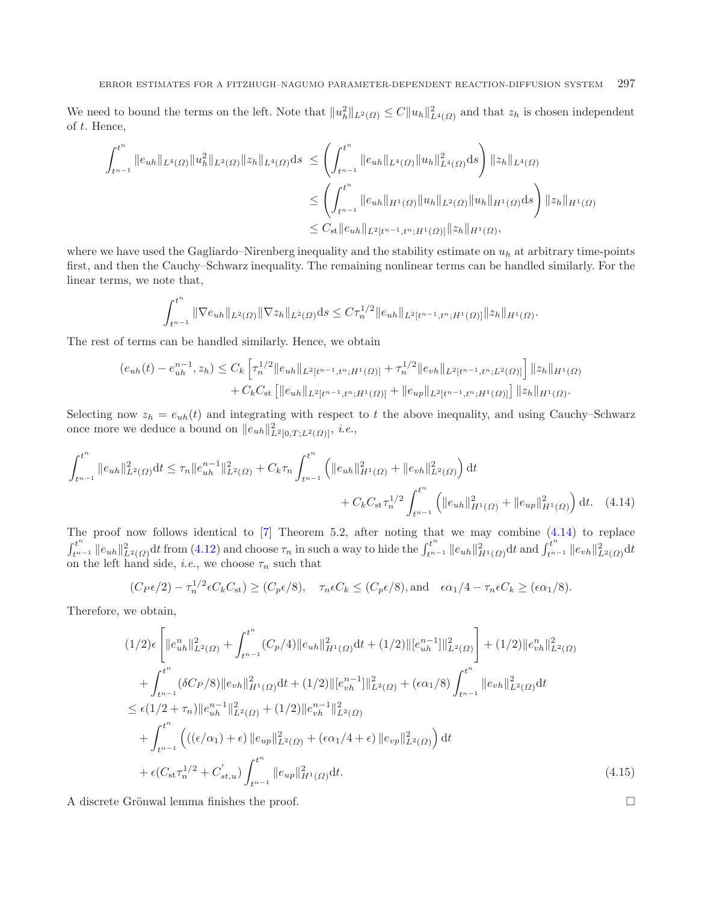We need to bound the terms on the left. Note that  $||u_h^2||_{L^2(\Omega)} \leq C||u_h||^2_{L^4(\Omega)}$  and that  $z_h$  is chosen independent of t. Hence,

$$
\int_{t^{n-1}}^{t^n} \|e_{uh}\|_{L^4(\Omega)} \|u_h^2\|_{L^2(\Omega)} \|z_h\|_{L^4(\Omega)} ds \leq \left( \int_{t^{n-1}}^{t^n} \|e_{uh}\|_{L^4(\Omega)} \|u_h\|_{L^4(\Omega)}^2 ds \right) \|z_h\|_{L^4(\Omega)} \leq \left( \int_{t^{n-1}}^{t^n} \|e_{uh}\|_{H^1(\Omega)} \|u_h\|_{L^2(\Omega)} \|u_h\|_{H^1(\Omega)} ds \right) \|z_h\|_{H^1(\Omega)} \leq C_{\text{st}} \|e_{uh}\|_{L^2[t^{n-1}, t^n; H^1(\Omega)]} \|z_h\|_{H^1(\Omega)},
$$

where we have used the Gagliardo–Nirenberg inequality and the stability estimate on  $u<sub>h</sub>$  at arbitrary time-points first, and then the Cauchy–Schwarz inequality. The remaining nonlinear terms can be handled similarly. For the linear terms, we note that,

<span id="page-16-0"></span>
$$
\int_{t^{n-1}}^{t^n} \|\nabla e_{uh}\|_{L^2(\Omega)} \|\nabla z_h\|_{L^2(\Omega)} ds \leq C\tau_n^{1/2} \|e_{uh}\|_{L^2[t^{n-1},t^n;H^1(\Omega)]} \|z_h\|_{H^1(\Omega)}.
$$

The rest of terms can be handled similarly. Hence, we obtain

$$
(e_{uh}(t) - e_{uh}^{n-1}, z_h) \leq C_k \left[ \tau_n^{1/2} \|e_{uh}\|_{L^2[t^{n-1}, t^n; H^1(\Omega)]} + \tau_n^{1/2} \|e_{vh}\|_{L^2[t^{n-1}, t^n; L^2(\Omega)]} \right] \|z_h\|_{H^1(\Omega)} + C_k C_{\text{st}} \left[ \|e_{uh}\|_{L^2[t^{n-1}, t^n; H^1(\Omega)]} + \|e_{up}\|_{L^2[t^{n-1}, t^n; H^1(\Omega)]} \right] \|z_h\|_{H^1(\Omega)}.
$$

Selecting now  $z_h = e_{uh}(t)$  and integrating with respect to t the above inequality, and using Cauchy–Schwarz once more we deduce a bound on  $||e_{uh}||_{L^2[0,T;L^2(\Omega)]}^2$ , *i.e.*,

$$
\int_{t^{n-1}}^{t^n} \|e_{uh}\|_{L^2(\Omega)}^2 dt \le \tau_n \|e_{uh}^{n-1}\|_{L^2(\Omega)}^2 + C_k \tau_n \int_{t^{n-1}}^{t^n} \left( \|e_{uh}\|_{H^1(\Omega)}^2 + \|e_{vh}\|_{L^2(\Omega)}^2 \right) dt
$$
  
+  $C_k C_{st} \tau_n^{1/2} \int_{t^{n-1}}^{t^n} \left( \|e_{uh}\|_{H^1(\Omega)}^2 + \|e_{up}\|_{H^1(\Omega)}^2 \right) dt.$  (4.14)

The proof now follows identical to [\[7](#page-22-3)] Theorem 5.2, after noting that we may combine [\(4.14\)](#page-16-0) to replace  $\int_{t^{n-1}}^{t^n} \|e_{uh}\|_{L^2(\Omega)}^2 dt$  from [\(4.12\)](#page-15-1) and choose  $\tau_n$  in such a way to hide the  $\int_{t^{n-1}}^{t^n} \|e_{uh}\|_{H^1(\Omega)}^2 dt$  and  $\int_{t^{n-1}}^{t^n} \|e_{vh}\|_{L^2(\Omega)}^2 dt$ on the left hand side, *i.e.*, we choose  $\tau_n$  such that

$$
(C_P \epsilon/2) - \tau_n^{1/2} \epsilon C_k C_{\rm st}) \ge (C_p \epsilon/8), \quad \tau_n \epsilon C_k \le (C_p \epsilon/8), \text{and } \epsilon \alpha_1/4 - \tau_n \epsilon C_k \ge (\epsilon \alpha_1/8).
$$

Therefore, we obtain,

$$
(1/2)\epsilon \left[ \|e_{uh}^{n}\|_{L^{2}(\Omega)}^{2} + \int_{t^{n-1}}^{t^{n}} (C_{p}/4) \|e_{uh}\|_{H^{1}(\Omega)}^{2} dt + (1/2) \|e_{uh}^{n-1}\|_{L^{2}(\Omega)}^{2} \right] + (1/2) \|e_{vh}^{n}\|_{L^{2}(\Omega)}^{2}
$$
  
+ 
$$
\int_{t^{n-1}}^{t^{n}} (\delta C_{P}/8) \|e_{vh}\|_{H^{1}(\Omega)}^{2} dt + (1/2) \|e_{vh}^{n-1}\|_{L^{2}(\Omega)}^{2} + (\epsilon \alpha_{1}/8) \int_{t^{n-1}}^{t^{n}} \|e_{vh}\|_{L^{2}(\Omega)}^{2} dt
$$
  

$$
\leq \epsilon (1/2 + \tau_{n}) \|e_{uh}^{n-1}\|_{L^{2}(\Omega)}^{2} + (1/2) \|e_{vh}^{n-1}\|_{L^{2}(\Omega)}^{2}
$$
  
+ 
$$
\int_{t^{n-1}}^{t^{n}} \left( ((\epsilon/\alpha_{1}) + \epsilon) \|e_{up}\|_{L^{2}(\Omega)}^{2} + (\epsilon \alpha_{1}/4 + \epsilon) \|e_{vp}\|_{L^{2}(\Omega)}^{2} \right) dt
$$
  
+ 
$$
\epsilon (C_{st}\tau_{n}^{1/2} + C_{st,u}') \int_{t^{n-1}}^{t^{n}} \|e_{up}\|_{H^{1}(\Omega)}^{2} dt.
$$
 (4.15)

A discrete Grönwal lemma finishes the proof.  $\Box$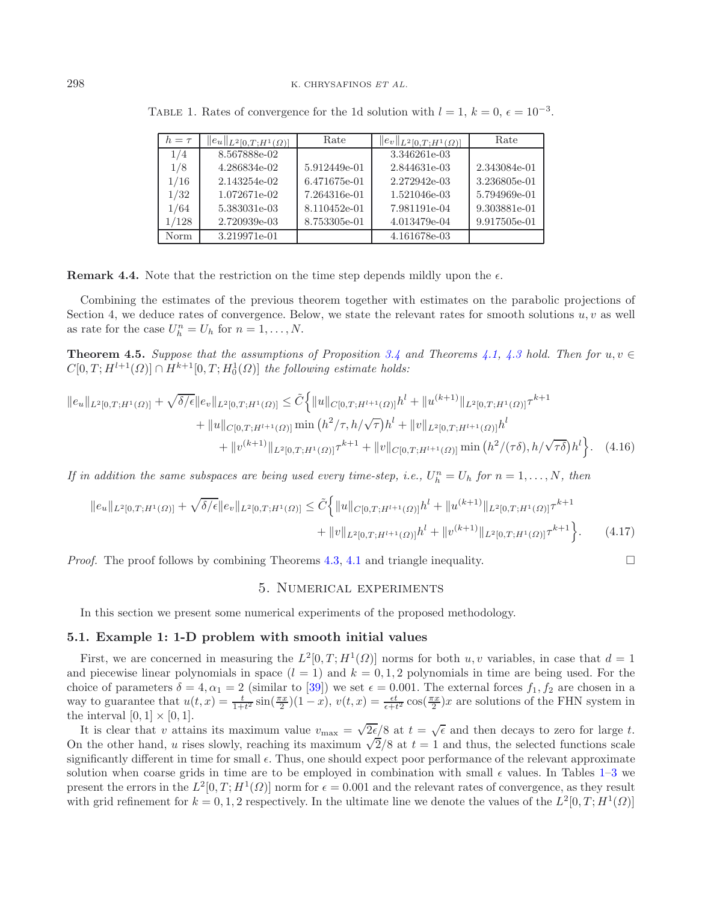| $h=\tau$ | $  e_u  _{L^2[0,T;\underline{H}^1(\Omega)]}$ | Rate         | $  e_v  _{L^2[0,T;H^1(\Omega)]}$ | Rate         |
|----------|----------------------------------------------|--------------|----------------------------------|--------------|
| 1/4      | 8.567888e-02                                 |              | 3.346261e-03                     |              |
| 1/8      | 4.286834e-02                                 | 5.912449e-01 | 2.844631e-03                     | 2.343084e-01 |
| 1/16     | 2.143254e-02                                 | 6.471675e-01 | 2.272942e-03                     | 3.236805e-01 |
| 1/32     | 1.072671e-02                                 | 7.264316e-01 | 1.521046e-03                     | 5.794969e-01 |
| 1/64     | 5.383031e-03                                 | 8.110452e-01 | 7.981191e-04                     | 9.303881e-01 |
| 1/128    | 2.720939e-03                                 | 8.753305e-01 | 4.013479e-04                     | 9.917505e-01 |
| Norm     | 3.219971e-01                                 |              | 4.161678e-03                     |              |

<span id="page-17-0"></span>TABLE 1. Rates of convergence for the 1d solution with  $l = 1, k = 0, \epsilon = 10^{-3}$ .

**Remark 4.4.** Note that the restriction on the time step depends mildly upon the  $\epsilon$ .

Combining the estimates of the previous theorem together with estimates on the parabolic projections of Section 4, we deduce rates of convergence. Below, we state the relevant rates for smooth solutions  $u, v$  as well as rate for the case  $U_h^n = U_h$  for  $n = 1, \ldots, N$ .

<span id="page-17-1"></span>**Theorem 4.5.** *Suppose that the assumptions of Proposition* [3.4](#page-6-3) *and Theorems* [4.1,](#page-11-2) [4.3](#page-13-4) *hold. Then for*  $u, v \in \mathbb{R}$  $C[0, T; H^{l+1}(\Omega)] \cap H^{k+1}[0, T; H_0^1(\Omega)]$  the following estimate holds:

$$
||e_{u}||_{L^{2}[0,T;H^{1}(\Omega)]} + \sqrt{\delta/\epsilon}||e_{v}||_{L^{2}[0,T;H^{1}(\Omega)]} \leq \tilde{C} \Big\{ ||u||_{C[0,T;H^{l+1}(\Omega)]} h^{l} + ||u^{(k+1)}||_{L^{2}[0,T;H^{1}(\Omega)]} \tau^{k+1} + ||u||_{C[0,T;H^{l+1}(\Omega)]} \min(h^{2}/\tau, h/\sqrt{\tau}) h^{l} + ||v||_{L^{2}[0,T;H^{l+1}(\Omega)]} h^{l} + ||v^{(k+1)}||_{L^{2}[0,T;H^{1}(\Omega)]} \tau^{k+1} + ||v||_{C[0,T;H^{l+1}(\Omega)]} \min(h^{2}/(\tau\delta), h/\sqrt{\tau\delta}) h^{l} \Big\}.
$$
 (4.16)

*If in addition the same subspaces are being used every time-step, i.e.,*  $U_h^n = U_h$  *for*  $n = 1, ..., N$ *, then* 

$$
||e_{u}||_{L^{2}[0,T;H^{1}(\Omega)]} + \sqrt{\delta/\epsilon}||e_{v}||_{L^{2}[0,T;H^{1}(\Omega)]} \leq \tilde{C}\Big\{||u||_{C[0,T;H^{l+1}(\Omega)]}h^{l} + ||u^{(k+1)}||_{L^{2}[0,T;H^{1}(\Omega)]}\tau^{k+1} + ||v||_{L^{2}[0,T;H^{l+1}(\Omega)]}h^{l} + ||v^{(k+1)}||_{L^{2}[0,T;H^{1}(\Omega)]}\tau^{k+1}\Big\}.
$$
 (4.17)

*Proof.* The proof follows by combining Theorems [4.3,](#page-13-4) [4.1](#page-11-2) and triangle inequality.  $\Box$ 

# <span id="page-17-2"></span>5. Numerical experiments

In this section we present some numerical experiments of the proposed methodology.

#### **5.1. Example 1: 1-D problem with smooth initial values**

First, we are concerned in measuring the  $L^2[0, T; H^1(\Omega)]$  norms for both u, v variables, in case that  $d = 1$ and piecewise linear polynomials in space  $(l = 1)$  and  $k = 0, 1, 2$  polynomials in time are being used. For the choice of parameters  $\delta = 4, \alpha_1 = 2$  (similar to [\[39](#page-23-9)]) we set  $\epsilon = 0.001$ . The external forces  $f_1, f_2$  are chosen in a way to guarantee that  $u(t,x) = \frac{t}{1+t^2} \sin(\frac{\pi x}{2})(1-x)$ ,  $v(t,x) = \frac{\epsilon t}{\epsilon+t^2} \cos(\frac{\pi x}{2})x$  are solutions of the FHN system in the interval  $[0, 1] \times [0, 1]$ .

It is clear that v attains its maximum value  $v_{\text{max}} = \sqrt{2\epsilon}/8$  at  $t = \sqrt{\epsilon}$  and then decays to zero for large t. It is clear that v attains its maximum value  $v_{\text{max}} = \sqrt{2\epsilon/\delta}$  at  $t = \sqrt{\epsilon}$  and then decays to zero for large t.<br>On the other hand, u rises slowly, reaching its maximum  $\sqrt{2}/8$  at  $t = 1$  and thus, the selected function significantly different in time for small  $\epsilon$ . Thus, one should expect poor performance of the relevant approximate solution when coarse grids in time are to be employed in combination with small  $\epsilon$  values. In Tables [1](#page-17-0)[–3](#page-18-0) we present the errors in the  $L^2[0, T; H^1(\Omega)]$  norm for  $\epsilon = 0.001$  and the relevant rates of convergence, as they result with grid refinement for  $k = 0, 1, 2$  respectively. In the ultimate line we denote the values of the  $L^2[0, T; H^1(\Omega)]$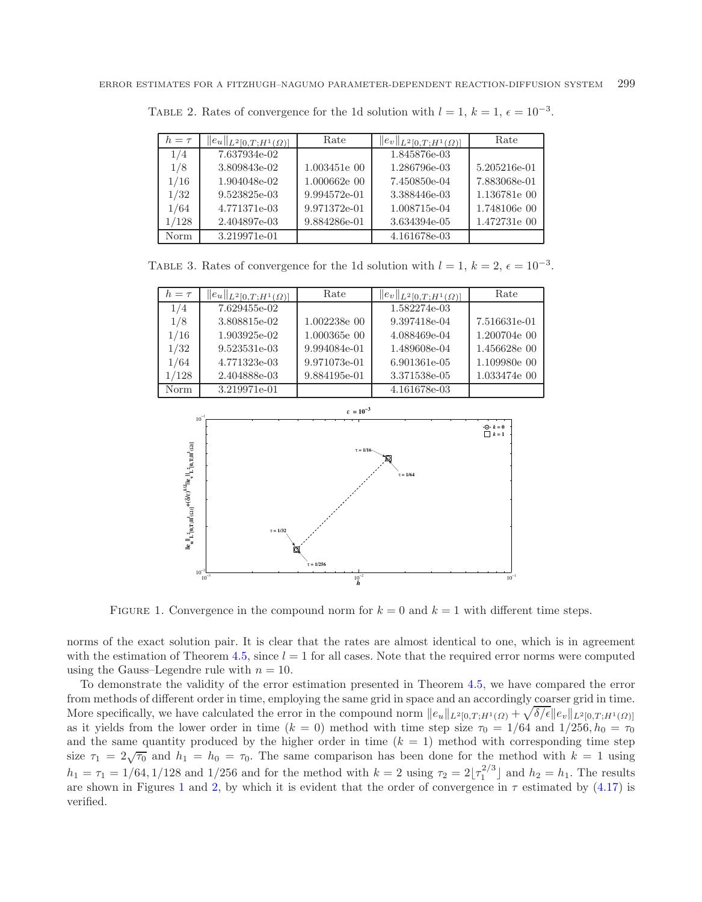| $h=\tau$ | $  e_u  _{L^2[0,T;H^1(\Omega)]}$ | Rate         | $  e_v  _{L^2[0,T;H^1(\Omega)]}$ | Rate         |
|----------|----------------------------------|--------------|----------------------------------|--------------|
| 1/4      | 7.637934e-02                     |              | 1.845876e-03                     |              |
| 1/8      | 3.809843e-02                     | 1.003451e 00 | 1.286796e-03                     | 5.205216e-01 |
| 1/16     | 1.904048e-02                     | 1.000662e 00 | 7.450850e-04                     | 7.883068e-01 |
| 1/32     | 9.523825e-03                     | 9.994572e-01 | 3.388446e-03                     | 1.136781e 00 |
| 1/64     | 4.771371e-03                     | 9.971372e-01 | 1.008715e-04                     | 1.748106e 00 |
| 1/128    | 2.404897e-03                     | 9.884286e-01 | 3.634394e-05                     | 1.472731e 00 |
| Norm     | 3.219971e-01                     |              | 4.161678e-03                     |              |

<span id="page-18-0"></span>TABLE 2. Rates of convergence for the 1d solution with  $l = 1, k = 1, \epsilon = 10^{-3}$ .

TABLE 3. Rates of convergence for the 1d solution with  $l = 1, k = 2, \epsilon = 10^{-3}$ .

| $h=\tau$ | $  e_u  _{L^2[0,T;H^1(\Omega)]}$ | Rate         | $  e_v  _{L^2[0,T;H^1(\Omega)]}$ | Rate         |
|----------|----------------------------------|--------------|----------------------------------|--------------|
| 1/4      | 7.629455e-02                     |              | 1.582274e-03                     |              |
| 1/8      | 3.808815e-02                     | 1.002238e 00 | 9.397418e-04                     | 7.516631e-01 |
| 1/16     | 1.903925e-02                     | 1.000365e 00 | 4.088469e-04                     | 1.200704e 00 |
| 1/32     | $9.523531e-03$                   | 9.994084e-01 | 1.489608e-04                     | 1.456628e 00 |
| 1/64     | 4.771323e-03                     | 9.971073e-01 | 6.901361e-05                     | 1.109980e 00 |
| 1/128    | 2.404888e-03                     | 9.884195e-01 | 3.371538e-05                     | 1.033474e 00 |
| Norm     | 3.219971e-01                     |              | 4.161678e-03                     |              |

<span id="page-18-1"></span>

FIGURE 1. Convergence in the compound norm for  $k = 0$  and  $k = 1$  with different time steps.

norms of the exact solution pair. It is clear that the rates are almost identical to one, which is in agreement with the estimation of Theorem [4.5,](#page-17-1) since  $l = 1$  for all cases. Note that the required error norms were computed using the Gauss–Legendre rule with  $n = 10$ .

To demonstrate the validity of the error estimation presented in Theorem [4.5,](#page-17-1) we have compared the error from methods of different order in time, employing the same grid in space and an accordingly coarser grid in time. More specifically, we have calculated the error in the compound norm  $||e_u||_{L^2[0,T;H^1(\Omega)]} + \sqrt{\delta/\epsilon}||e_v||_{L^2[0,T;H^1(\Omega)]}$ as it yields from the lower order in time  $(k = 0)$  method with time step size  $\tau_0 = 1/64$  and  $1/256$ ,  $h_0 = \tau_0$ and the same quantity produced by the higher order in time  $(k = 1)$  method with corresponding time step size  $\tau_1 = 2\sqrt{\tau_0}$  and  $h_1 = h_0 = \tau_0$ . The same comparison has been done for the method with  $k = 1$  using  $h_1 = \tau_1 = 1/64, 1/128$  and  $1/256$  and for the method with  $k = 2$  using  $\tau_2 = 2\lfloor \tau_1^{2/3} \rfloor$  and  $h_2 = h_1$ . The results are shown in Figures [1](#page-18-1) and [2,](#page-19-0) by which it is evident that the order of convergence in  $\tau$  estimated by [\(4.17\)](#page-17-2) is verified.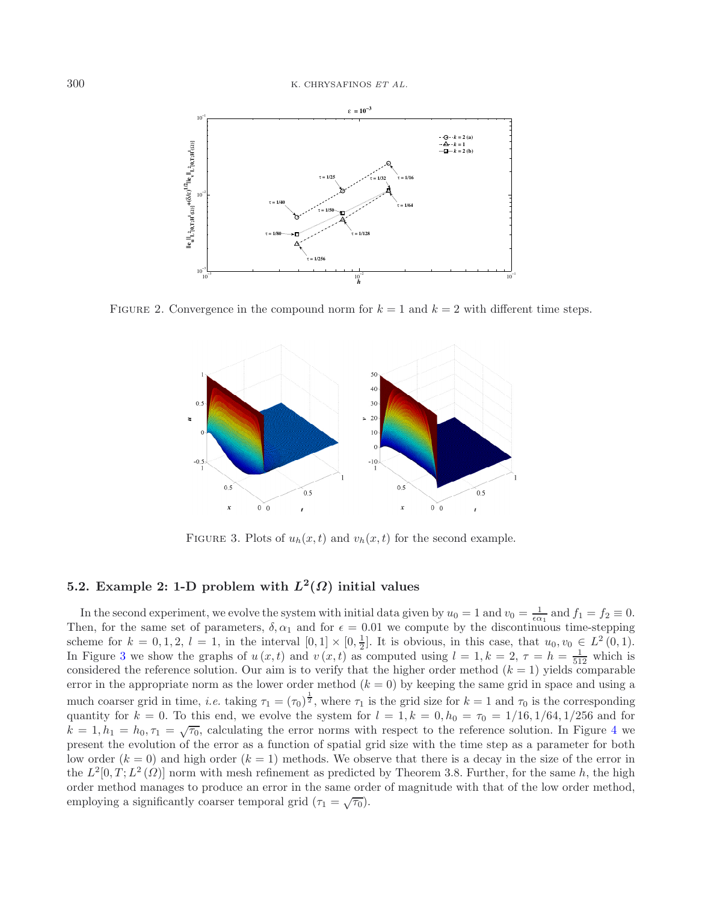<span id="page-19-0"></span>

FIGURE 2. Convergence in the compound norm for  $k = 1$  and  $k = 2$  with different time steps.

<span id="page-19-1"></span>

FIGURE 3. Plots of  $u_h(x, t)$  and  $v_h(x, t)$  for the second example.

# **5.2.** Example 2: 1-D problem with  $L^2(\Omega)$  initial values

In the second experiment, we evolve the system with initial data given by  $u_0 = 1$  and  $v_0 = \frac{1}{\epsilon \alpha_1}$  and  $f_1 = f_2 \equiv 0$ . Then, for the same set of parameters,  $\delta$ ,  $\alpha_1$  and for  $\epsilon = 0.01$  we compute by the discontinuous time-stepping scheme for  $k = 0, 1, 2, l = 1$ , in the interval  $[0, 1] \times [0, \frac{1}{2}]$ . It is obvious, in this case, that  $u_0, v_0 \in L^2(0, 1)$ . In Figure [3](#page-19-1) we show the graphs of  $u(x,t)$  and  $v(x,t)$  as computed using  $l = 1, k = 2, \tau = h = \frac{1}{512}$  which is considered the reference solution. Our aim is to verify that the higher order method  $(k = 1)$  yields comparable error in the appropriate norm as the lower order method  $(k = 0)$  by keeping the same grid in space and using a much coarser grid in time, *i.e.* taking  $\tau_1 = (\tau_0)^{\frac{1}{2}}$ , where  $\tau_1$  is the grid size for  $k = 1$  and  $\tau_0$  is the corresponding quantity for  $k = 0$ . To this end, we evolve the system for  $l = 1, k = 0, h_0 = \tau_0 = 1/16, 1/64, 1/256$  and for  $k = 1, h_1 = h_0, \tau_1 = \sqrt{\tau_0}$ , calculating the error norms with respect to the reference solution. In Figure [4](#page-20-0) we present the evolution of the error as a function of spatial grid size with the time step as a parameter for both low order  $(k = 0)$  and high order  $(k = 1)$  methods. We observe that there is a decay in the size of the error in the  $L^2[0, T; L^2(\Omega)]$  norm with mesh refinement as predicted by Theorem 3.8. Further, for the same h, the high order method manages to produce an error in the same order of magnitude with that of the low order method, employing a significantly coarser temporal grid  $(\tau_1 = \sqrt{\tau_0})$ .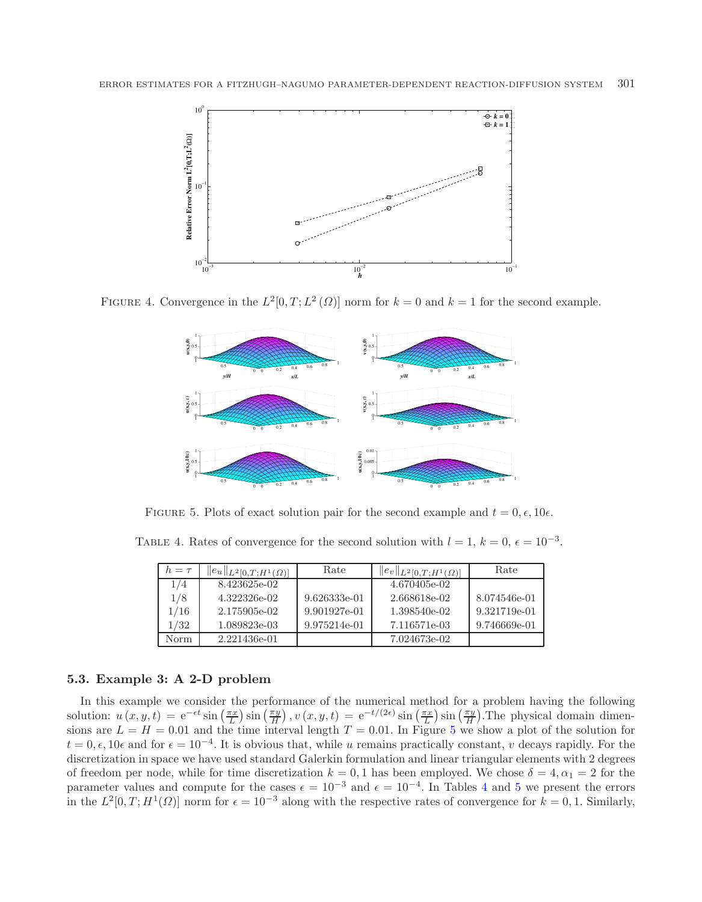<span id="page-20-0"></span>

<span id="page-20-2"></span><span id="page-20-1"></span>FIGURE 4. Convergence in the  $L^2[0,T; L^2(\Omega)]$  norm for  $k = 0$  and  $k = 1$  for the second example.



FIGURE 5. Plots of exact solution pair for the second example and  $t = 0, \epsilon, 10\epsilon$ .

TABLE 4. Rates of convergence for the second solution with  $l = 1, k = 0, \epsilon = 10^{-3}$ .

| $h=\tau$ | $  e_u  _{L^2[0,T;H^1(\Omega)]}$ | Rate         | $  e_v  _{L^2[0,T;H^1(\Omega)]}$ | Rate         |
|----------|----------------------------------|--------------|----------------------------------|--------------|
| 1/4      | 8.423625e-02                     |              | 4.670405e-02                     |              |
| 1/8      | 4.322326e-02                     | 9.626333e-01 | 2.668618e-02                     | 8.074546e-01 |
| 1/16     | 2.175905e-02                     | 9.901927e-01 | 1.398540e-02                     | 9.321719e-01 |
| 1/32     | 1.089823e-03                     | 9.975214e-01 | 7.116571e-03                     | 9.746669e-01 |
| Norm     | 2.221436e-01                     |              | 7.024673e-02                     |              |

### **5.3. Example 3: A 2-D problem**

In this example we consider the performance of the numerical method for a problem having the following solution:  $u(x, y, t) = e^{-\epsilon t} \sin\left(\frac{\pi x}{L}\right) \sin\left(\frac{\pi y}{H}\right)$ ,  $v(x, y, t) = e^{-t/(2\epsilon)} \sin\left(\frac{\pi x}{L}\right) \sin\left(\frac{\pi y}{H}\right)$ . The physical domain dimensions are  $L = H = 0.01$  and the time interval length  $T = 0.01$ . In Figure [5](#page-20-1) we show a plot of the solution for  $t = 0, \epsilon, 10\epsilon$  and for  $\epsilon = 10^{-4}$ . It is obvious that, while u remains practically constant, v decays rapidly. For the discretization in space we have used standard Galerkin formulation and linear triangular elements with 2 degrees of freedom per node, while for time discretization  $k = 0, 1$  has been employed. We chose  $\delta = 4, \alpha_1 = 2$  for the parameter values and compute for the cases  $\epsilon = 10^{-3}$  and  $\epsilon = 10^{-4}$  $\epsilon = 10^{-4}$  $\epsilon = 10^{-4}$ . In Tables 4 and [5](#page-21-0) we present the errors in the  $L^2[0, T; H^1(\Omega)]$  norm for  $\epsilon = 10^{-3}$  along with the respective rates of convergence for  $k = 0, 1$ . Similarly,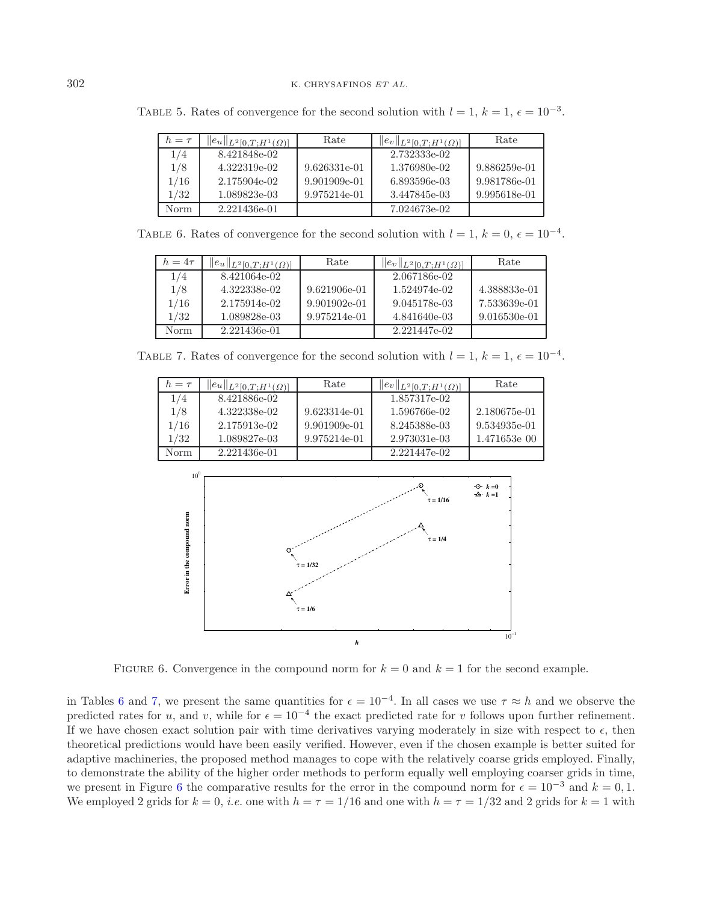| $h=\tau$ | $  e_u  _{L^2[0,T;H^1(\Omega)]}$ | Rate         | $  e_v  _{L^2[0,T;H^1(\Omega)]}$ | Rate         |
|----------|----------------------------------|--------------|----------------------------------|--------------|
| 1/4      | 8.421848e-02                     |              | 2.732333e-02                     |              |
| 1/8      | 4.322319e-02                     | 9.626331e-01 | 1.376980e-02                     | 9.886259e-01 |
| 1/16     | 2.175904e-02                     | 9.901909e-01 | 6.893596e-03                     | 9.981786e-01 |
| 1/32     | 1.089823e-03                     | 9.975214e-01 | 3.447845e-03                     | 9.995618e-01 |
| Norm     | 2.221436e-01                     |              | 7.024673e-02                     |              |

<span id="page-21-1"></span><span id="page-21-0"></span>TABLE 5. Rates of convergence for the second solution with  $l = 1, k = 1, \epsilon = 10^{-3}$ .

<span id="page-21-2"></span>TABLE 6. Rates of convergence for the second solution with  $l = 1, k = 0, \epsilon = 10^{-4}$ .

| $h=4\tau$ | $  e_u  _{L^2[0,T;H^1(\Omega)]}$ | Rate         | $  e_v  _{L^2[0,T;H^1(\Omega)]}$ | Rate         |
|-----------|----------------------------------|--------------|----------------------------------|--------------|
| 1/4       | 8.421064e-02                     |              | 2.067186e-02                     |              |
| 1/8       | 4.322338e-02                     | 9.621906e-01 | 1.524974e-02                     | 4.388833e-01 |
| 1/16      | 2.175914e-02                     | 9.901902e-01 | 9.045178e-03                     | 7.533639e-01 |
| 1/32      | 1.089828e-03                     | 9.975214e-01 | 4.841640e-03                     | 9.016530e-01 |
| Norm      | 2.221436e-01                     |              | 2.221447e-02                     |              |

TABLE 7. Rates of convergence for the second solution with  $l = 1, k = 1, \epsilon = 10^{-4}$ .

| $h=\tau$ | $  e_u  _{L^2[0,T;H^1(\Omega)]}$ | Rate         | $  e_v  _{L^2[0,T;H^1(\Omega)]}$ | Rate         |
|----------|----------------------------------|--------------|----------------------------------|--------------|
| 1/4      | 8.421886e-02                     |              | 1.857317e-02                     |              |
| 1/8      | 4.322338e-02                     | 9.623314e-01 | 1.596766e-02                     | 2.180675e-01 |
| 1/16     | 2.175913e-02                     | 9.901909e-01 | 8.245388e-03                     | 9.534935e-01 |
| 1/32     | 1.089827e-03                     | 9.975214e-01 | 2.973031e-03                     | 1.471653e 00 |
| Norm     | 2.221436e-01                     |              | 2.221447e-02                     |              |

<span id="page-21-3"></span>

FIGURE 6. Convergence in the compound norm for  $k = 0$  and  $k = 1$  for the second example.

in Tables [6](#page-21-1) and [7,](#page-21-2) we present the same quantities for  $\epsilon = 10^{-4}$ . In all cases we use  $\tau \approx h$  and we observe the predicted rates for u, and v, while for  $\epsilon = 10^{-4}$  the exact predicted rate for v follows upon further refinement. If we have chosen exact solution pair with time derivatives varying moderately in size with respect to  $\epsilon$ , then theoretical predictions would have been easily verified. However, even if the chosen example is better suited for adaptive machineries, the proposed method manages to cope with the relatively coarse grids employed. Finally, to demonstrate the ability of the higher order methods to perform equally well employing coarser grids in time, we present in Figure [6](#page-21-3) the comparative results for the error in the compound norm for  $\epsilon = 10^{-3}$  and  $k = 0, 1$ . We employed 2 grids for  $k = 0$ , *i.e.* one with  $h = \tau = 1/16$  and one with  $h = \tau = 1/32$  and 2 grids for  $k = 1$  with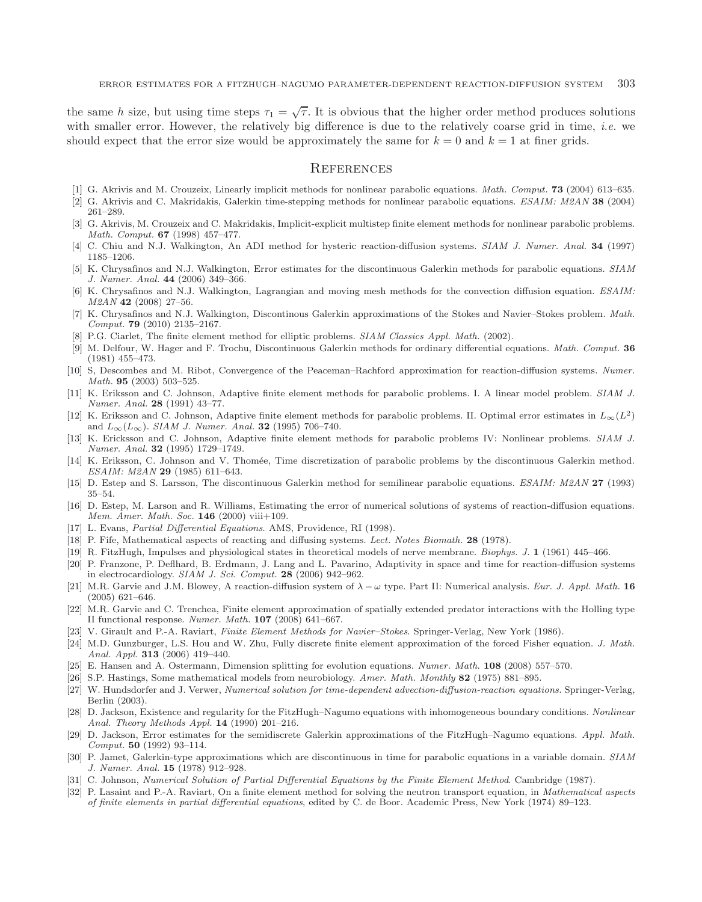the same h size, but using time steps  $\tau_1 = \sqrt{\tau}$ . It is obvious that the higher order method produces solutions with smaller error. However, the relatively big difference is due to the relatively coarse grid in time, *i.e.* we should expect that the error size would be approximately the same for  $k = 0$  and  $k = 1$  at finer grids.

## **REFERENCES**

- <span id="page-22-12"></span>[1] G. Akrivis and M. Crouzeix, Linearly implicit methods for nonlinear parabolic equations. Math. Comput. **73** (2004) 613–635.
- <span id="page-22-13"></span>[2] G. Akrivis and C. Makridakis, Galerkin time-stepping methods for nonlinear parabolic equations. ESAIM: M2AN **38** (2004) 261–289.
- <span id="page-22-11"></span>[3] G. Akrivis, M. Crouzeix and C. Makridakis, Implicit-explicit multistep finite element methods for nonlinear parabolic problems. Math. Comput. **67** (1998) 457–477.
- <span id="page-22-8"></span>[4] C. Chiu and N.J. Walkington, An ADI method for hysteric reaction-diffusion systems. SIAM J. Numer. Anal. **34** (1997) 1185–1206.
- <span id="page-22-26"></span>[5] K. Chrysafinos and N.J. Walkington, Error estimates for the discontinuous Galerkin methods for parabolic equations. SIAM J. Numer. Anal. **44** (2006) 349–366.
- <span id="page-22-27"></span>[6] K. Chrysafinos and N.J. Walkington, Lagrangian and moving mesh methods for the convection diffusion equation. ESAIM: M2AN **42** (2008) 27–56.
- <span id="page-22-3"></span>[7] K. Chrysafinos and N.J. Walkington, Discontinous Galerkin approximations of the Stokes and Navier–Stokes problem. Math. Comput. **79** (2010) 2135–2167.
- P.G. Ciarlet, The finite element method for elliptic problems. SIAM Classics Appl. Math. (2002).
- <span id="page-22-24"></span>[9] M. Delfour, W. Hager and F. Trochu, Discontinuous Galerkin methods for ordinary differential equations. Math. Comput. **36** (1981) 455–473.
- <span id="page-22-14"></span><span id="page-22-9"></span>[10] S, Descombes and M. Ribot, Convergence of the Peaceman–Rachford approximation for reaction-diffusion systems. Numer. Math. **95** (2003) 503–525.
- <span id="page-22-15"></span>[11] K. Eriksson and C. Johnson, Adaptive finite element methods for parabolic problems. I. A linear model problem. SIAM J. Numer. Anal. **28** (1991) 43–77.
- [12] K. Eriksson and C. Johnson, Adaptive finite element methods for parabolic problems. II. Optimal error estimates in  $L_{\infty}(L^2)$ and  $L_{\infty}(L_{\infty})$ . SIAM J. Numer. Anal. **32** (1995) 706–740.
- [13] K. Ericksson and C. Johnson, Adaptive finite element methods for parabolic problems IV: Nonlinear problems. SIAM J. Numer. Anal. **32** (1995) 1729–1749.
- [14] K. Eriksson, C. Johnson and V. Thomée, Time discretization of parabolic problems by the discontinuous Galerkin method. ESAIM: M2AN **29** (1985) 611–643.
- <span id="page-22-16"></span>[15] D. Estep and S. Larsson, The discontinuous Galerkin method for semilinear parabolic equations. ESAIM: M2AN **27** (1993) 35–54.
- <span id="page-22-19"></span>[16] D. Estep, M. Larson and R. Williams, Estimating the error of numerical solutions of systems of reaction-diffusion equations. Mem. Amer. Math. Soc. **146** (2000) viii+109.
- <span id="page-22-22"></span>[17] L. Evans, Partial Differential Equations. AMS, Providence, RI (1998).
- <span id="page-22-2"></span>[18] P. Fife, Mathematical aspects of reacting and diffusing systems. Lect. Notes Biomath. **28** (1978).
- <span id="page-22-0"></span>[19] R. FitzHugh, Impulses and physiological states in theoretical models of nerve membrane. Biophys. J. **1** (1961) 445–466.
- <span id="page-22-20"></span>[20] P. Franzone, P. Deflhard, B. Erdmann, J. Lang and L. Pavarino, Adaptivity in space and time for reaction-diffusion systems in electrocardiology. SIAM J. Sci. Comput. **28** (2006) 942–962.
- <span id="page-22-5"></span>[21] M.R. Garvie and J.M. Blowey, A reaction-diffusion system of λ − ω type. Part II: Numerical analysis. Eur. J. Appl. Math. **16** (2005) 621–646.
- <span id="page-22-6"></span>[22] M.R. Garvie and C. Trenchea, Finite element approximation of spatially extended predator interactions with the Holling type II functional response. Numer. Math. **107** (2008) 641–667.
- <span id="page-22-25"></span>[23] V. Girault and P.-A. Raviart, Finite Element Methods for Navier-Stokes. Springer-Verlag, New York (1986).
- <span id="page-22-7"></span>[24] M.D. Gunzburger, L.S. Hou and W. Zhu, Fully discrete finite element approximation of the forced Fisher equation. J. Math. Anal. Appl. **313** (2006) 419–440.
- <span id="page-22-10"></span>[25] E. Hansen and A. Ostermann, Dimension splitting for evolution equations. Numer. Math. **108** (2008) 557–570.
- <span id="page-22-1"></span>[26] S.P. Hastings, Some mathematical models from neurobiology. Amer. Math. Monthly **82** (1975) 881–895.
- <span id="page-22-21"></span>[27] W. Hundsdorfer and J. Verwer, Numerical solution for time-dependent advection-diffusion-reaction equations. Springer-Verlag, Berlin (2003).
- <span id="page-22-23"></span>[28] D. Jackson, Existence and regularity for the FitzHugh–Nagumo equations with inhomogeneous boundary conditions. Nonlinear Anal. Theory Methods Appl. **14** (1990) 201–216.
- <span id="page-22-4"></span>[29] D. Jackson, Error estimates for the semidiscrete Galerkin approximations of the FitzHugh–Nagumo equations. Appl. Math. Comput. **50** (1992) 93–114.
- <span id="page-22-17"></span>[30] P. Jamet, Galerkin-type approximations which are discontinuous in time for parabolic equations in a variable domain. SIAM J. Numer. Anal. **15** (1978) 912–928.
- [31] C. Johnson, Numerical Solution of Partial Differential Equations by the Finite Element Method. Cambridge (1987).
- <span id="page-22-18"></span>[32] P. Lasaint and P.-A. Raviart, On a finite element method for solving the neutron transport equation, in *Mathematical aspects* of finite elements in partial differential equations, edited by C. de Boor. Academic Press, New York (1974) 89–123.